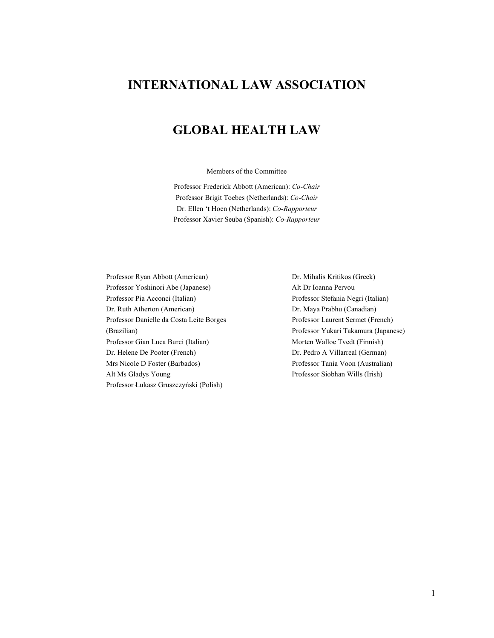# **INTERNATIONAL LAW ASSOCIATION**

# **GLOBAL HEALTH LAW**

Members of the Committee

Professor Frederick Abbott (American): *Co-Chair* Professor Brigit Toebes (Netherlands): *Co-Chair* Dr. Ellen 't Hoen (Netherlands): *Co-Rapporteur* Professor Xavier Seuba (Spanish): *Co-Rapporteur*

Professor Ryan Abbott (American) Dr. Mihalis Kritikos (Greek) Professor Yoshinori Abe (Japanese) Alt Dr Ioanna Pervou Professor Pia Acconci (Italian) Professor Stefania Negri (Italian) Dr. Ruth Atherton (American) Dr. Maya Prabhu (Canadian) Professor Danielle da Costa Leite Borges Professor Laurent Sermet (French) (Brazilian) Professor Yukari Takamura (Japanese) Professor Gian Luca Burci (Italian) Morten Walloe Tvedt (Finnish) Dr. Helene De Pooter (French) Dr. Pedro A Villarreal (German) Mrs Nicole D Foster (Barbados) Professor Tania Voon (Australian) Alt Ms Gladys Young Professor Siobhan Wills (Irish) Professor Łukasz Gruszczyński (Polish)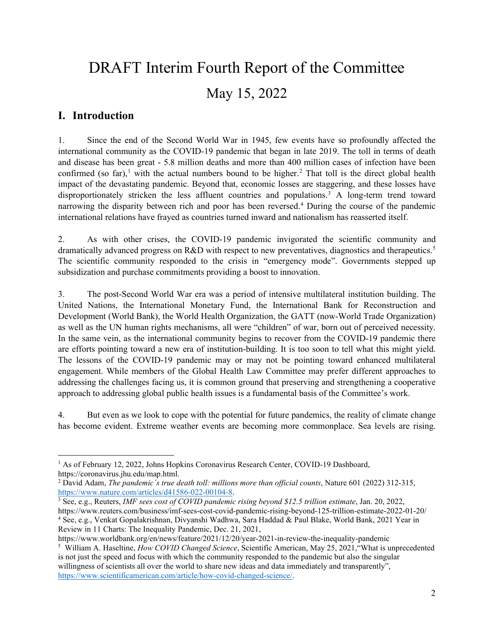# DRAFT Interim Fourth Report of the Committee May 15, 2022

## **I. Introduction**

1. Since the end of the Second World War in 1945, few events have so profoundly affected the international community as the COVID-19 pandemic that began in late 2019. The toll in terms of death and disease has been great - 5.8 million deaths and more than 400 million cases of infection have been confirmed (so far),<sup>[1](#page-1-0)</sup> with the actual numbers bound to be higher.<sup>[2](#page-1-1)</sup> That toll is the direct global health impact of the devastating pandemic. Beyond that, economic losses are staggering, and these losses have disproportionately stricken the less affluent countries and populations.<sup>[3](#page-1-2)</sup> A long-term trend toward narrowing the disparity between rich and poor has been reversed.[4](#page-1-3) During the course of the pandemic international relations have frayed as countries turned inward and nationalism has reasserted itself.

2. As with other crises, the COVID-19 pandemic invigorated the scientific community and dramatically advanced progress on R&D with respect to new preventatives, diagnostics and therapeutics.<sup>[5](#page-1-4)</sup> The scientific community responded to the crisis in "emergency mode". Governments stepped up subsidization and purchase commitments providing a boost to innovation.

3. The post-Second World War era was a period of intensive multilateral institution building. The United Nations, the International Monetary Fund, the International Bank for Reconstruction and Development (World Bank), the World Health Organization, the GATT (now-World Trade Organization) as well as the UN human rights mechanisms, all were "children" of war, born out of perceived necessity. In the same vein, as the international community begins to recover from the COVID-19 pandemic there are efforts pointing toward a new era of institution-building. It is too soon to tell what this might yield. The lessons of the COVID-19 pandemic may or may not be pointing toward enhanced multilateral engagement. While members of the Global Health Law Committee may prefer different approaches to addressing the challenges facing us, it is common ground that preserving and strengthening a cooperative approach to addressing global public health issues is a fundamental basis of the Committee's work.

4. But even as we look to cope with the potential for future pandemics, the reality of climate change has become evident. Extreme weather events are becoming more commonplace. Sea levels are rising.

<span id="page-1-0"></span><sup>&</sup>lt;sup>1</sup> As of February 12, 2022, Johns Hopkins Coronavirus Research Center, COVID-19 Dashboard, https://coronavirus.jhu.edu/map.html.

<span id="page-1-1"></span><sup>2</sup> David Adam, *The pandemic´s true death toll: millions more than official counts*, Nature 601 (2022) 312-315, [https://www.nature.com/articles/d41586-022-00104-8.](https://www.nature.com/articles/d41586-022-00104-8) 3 See, e.g., Reuters, *IMF sees cost of COVID pandemic rising beyond \$12.5 trillion estimate*, Jan. 20, 2022,

<span id="page-1-3"></span><span id="page-1-2"></span>https://www.reuters.com/business/imf-sees-cost-covid-pandemic-rising-beyond-125-trillion-estimate-2022-01-20/ <sup>4</sup> See, e.g., Venkat Gopalakrishnan, Divyanshi Wadhwa, Sara Haddad & Paul Blake, World Bank, 2021 Year in Review in 11 Charts: The Inequality Pandemic, Dec. 21, 2021,

https://www.worldbank.org/en/news/feature/2021/12/20/year-2021-in-review-the-inequality-pandemic

<span id="page-1-4"></span><sup>5</sup> William A. Haseltine, *How COVID Changed Science*, Scientific American, May 25, 2021,"What is unprecedented is not just the speed and focus with which the community responded to the pandemic but also the singular willingness of scientists all over the world to share new ideas and data immediately and transparently", [https://www.scientificamerican.com/article/how-covid-changed-science/.](https://www.scientificamerican.com/article/how-covid-changed-science/)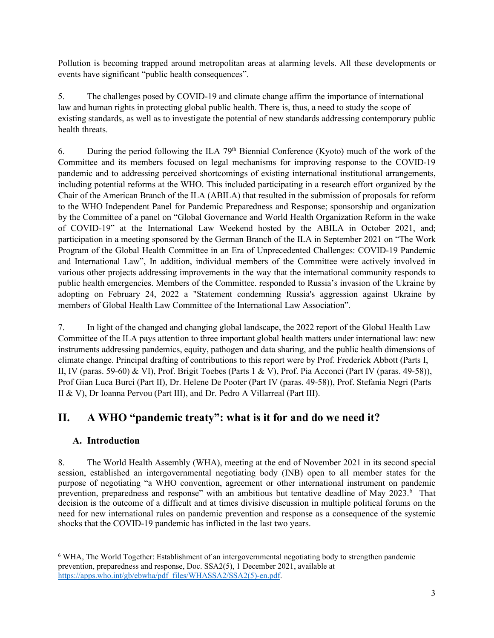Pollution is becoming trapped around metropolitan areas at alarming levels. All these developments or events have significant "public health consequences".

5. The challenges posed by COVID-19 and climate change affirm the importance of international law and human rights in protecting global public health. There is, thus, a need to study the scope of existing standards, as well as to investigate the potential of new standards addressing contemporary public health threats.

6. During the period following the ILA  $79<sup>th</sup>$  Biennial Conference (Kyoto) much of the work of the Committee and its members focused on legal mechanisms for improving response to the COVID-19 pandemic and to addressing perceived shortcomings of existing international institutional arrangements, including potential reforms at the WHO. This included participating in a research effort organized by the Chair of the American Branch of the ILA (ABILA) that resulted in the submission of proposals for reform to the WHO Independent Panel for Pandemic Preparedness and Response; sponsorship and organization by the Committee of a panel on "Global Governance and World Health Organization Reform in the wake of COVID-19" at the International Law Weekend hosted by the ABILA in October 2021, and; participation in a meeting sponsored by the German Branch of the ILA in September 2021 on "The Work Program of the Global Health Committee in an Era of Unprecedented Challenges: COVID-19 Pandemic and International Law", In addition, individual members of the Committee were actively involved in various other projects addressing improvements in the way that the international community responds to public health emergencies. Members of the Committee. responded to Russia's invasion of the Ukraine by adopting on February 24, 2022 a ["Statement condemning Russia's aggression against Ukraine by](https://frederickabbott.com/ila_global_health)  [members of Global Health Law Committee of the International Law Association"](https://frederickabbott.com/ila_global_health).

7. In light of the changed and changing global landscape, the 2022 report of the Global Health Law Committee of the ILA pays attention to three important global health matters under international law: new instruments addressing pandemics, equity, pathogen and data sharing, and the public health dimensions of climate change. Principal drafting of contributions to this report were by Prof. Frederick Abbott (Parts I, II, IV (paras. 59-60) & VI), Prof. Brigit Toebes (Parts 1 & V), Prof. Pia Acconci (Part IV (paras. 49-58)), Prof Gian Luca Burci (Part II), Dr. Helene De Pooter (Part IV (paras. 49-58)), Prof. Stefania Negri (Parts II & V), Dr Ioanna Pervou (Part III), and Dr. Pedro A Villarreal (Part III).

# **II. A WHO "pandemic treaty": what is it for and do we need it?**

## **A. Introduction**

8. The World Health Assembly (WHA), meeting at the end of November 2021 in its second special session, established an intergovernmental negotiating body (INB) open to all member states for the purpose of negotiating "a WHO convention, agreement or other international instrument on pandemic prevention, preparedness and response" with an ambitious but tentative deadline of May 2023.<sup>[6](#page-2-0)</sup> That decision is the outcome of a difficult and at times divisive discussion in multiple political forums on the need for new international rules on pandemic prevention and response as a consequence of the systemic shocks that the COVID-19 pandemic has inflicted in the last two years.

<span id="page-2-0"></span><sup>6</sup> WHA, The World Together: Establishment of an intergovernmental negotiating body to strengthen pandemic prevention, preparedness and response, Doc. SSA2(5), 1 December 2021, available at https://apps.who.int/gb/ebwha/pdf\_files/WHASSA2/SSA2(5)-en.pdf.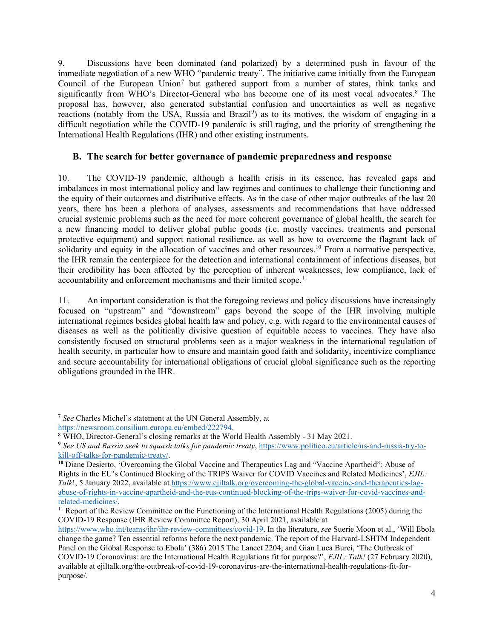9. Discussions have been dominated (and polarized) by a determined push in favour of the immediate negotiation of a new WHO "pandemic treaty". The initiative came initially from the European Council of the European Union<sup>[7](#page-3-0)</sup> but gathered support from a number of states, think tanks and significantly from WHO's Director-General who has become one of its most vocal advocates.<sup>[8](#page-3-1)</sup> The proposal has, however, also generated substantial confusion and uncertainties as well as negative reactions (notably from the USA, Russia and Brazil<sup>[9](#page-3-2)</sup>) as to its motives, the wisdom of engaging in a difficult negotiation while the COVID-19 pandemic is still raging, and the priority of strengthening the International Health Regulations (IHR) and other existing instruments.

#### **B. The search for better governance of pandemic preparedness and response**

10. The COVID-19 pandemic, although a health crisis in its essence, has revealed gaps and imbalances in most international policy and law regimes and continues to challenge their functioning and the equity of their outcomes and distributive effects. As in the case of other major outbreaks of the last 20 years, there has been a plethora of analyses, assessments and recommendations that have addressed crucial systemic problems such as the need for more coherent governance of global health, the search for a new financing model to deliver global public goods (i.e. mostly vaccines, treatments and personal protective equipment) and support national resilience, as well as how to overcome the flagrant lack of solidarity and equity in the allocation of vaccines and other resources.<sup>[10](#page-3-3)</sup> From a normative perspective, the IHR remain the centerpiece for the detection and international containment of infectious diseases, but their credibility has been affected by the perception of inherent weaknesses, low compliance, lack of accountability and enforcement mechanisms and their limited scope.<sup>[11](#page-3-4)</sup>

<span id="page-3-5"></span>11. An important consideration is that the foregoing reviews and policy discussions have increasingly focused on "upstream" and "downstream" gaps beyond the scope of the IHR involving multiple international regimes besides global health law and policy, e.g. with regard to the environmental causes of diseases as well as the politically divisive question of equitable access to vaccines. They have also consistently focused on structural problems seen as a major weakness in the international regulation of health security, in particular how to ensure and maintain good faith and solidarity, incentivize compliance and secure accountability for international obligations of crucial global significance such as the reporting obligations grounded in the IHR.

<span id="page-3-0"></span><sup>7</sup> *See* Charles Michel's statement at the UN General Assembly, at

<span id="page-3-1"></span>[https://newsroom.consilium.europa.eu/embed/222794.](https://newsroom.consilium.europa.eu/embed/222794)<br><sup>8</sup> WHO, Director-General's closing remarks at the World Health Assembly - 31 May 2021.

<span id="page-3-2"></span>**<sup>9</sup>** *See US and Russia seek to squash talks for pandemic treaty*, [https://www.politico.eu/article/us-and-russia-try-to](https://www.politico.eu/article/us-and-russia-try-to-kill-off-talks-for-pandemic-treaty/)[kill-off-talks-for-pandemic-treaty/.](https://www.politico.eu/article/us-and-russia-try-to-kill-off-talks-for-pandemic-treaty/)

<span id="page-3-3"></span>**<sup>10</sup>** Diane Desierto, 'Overcoming the Global Vaccine and Therapeutics Lag and "Vaccine Apartheid": Abuse of Rights in the EU's Continued Blocking of the TRIPS Waiver for COVID Vaccines and Related Medicines', *EJIL: Talk*!, 5 January 2022, available a[t https://www.ejiltalk.org/overcoming-the-global-vaccine-and-therapeutics-lag](https://www.ejiltalk.org/overcoming-the-global-vaccine-and-therapeutics-lag-abuse-of-rights-in-vaccine-apartheid-and-the-eus-continued-blocking-of-the-trips-waiver-for-covid-vaccines-and-related-medicines/)[abuse-of-rights-in-vaccine-apartheid-and-the-eus-continued-blocking-of-the-trips-waiver-for-covid-vaccines-and-](https://www.ejiltalk.org/overcoming-the-global-vaccine-and-therapeutics-lag-abuse-of-rights-in-vaccine-apartheid-and-the-eus-continued-blocking-of-the-trips-waiver-for-covid-vaccines-and-related-medicines/)

<span id="page-3-4"></span> $\frac{11}{11}$  Report of the Review Committee on the Functioning of the International Health Regulations (2005) during the COVID-19 Response (IHR Review Committee Report), 30 April 2021, available at

[https://www.who.int/teams/ihr/ihr-review-committees/covid-19.](https://www.who.int/teams/ihr/ihr-review-committees/covid-19) In the literature, *see* Suerie Moon et al., 'Will Ebola change the game? Ten essential reforms before the next pandemic. The report of the Harvard-LSHTM Independent Panel on the Global Response to Ebola' (386) 2015 The Lancet 2204; and Gian Luca Burci, 'The Outbreak of COVID-19 Coronavirus: are the International Health Regulations fit for purpose?', *EJIL: Talk!* (27 February 2020), available at ejiltalk.org/the-outbreak-of-covid-19-coronavirus-are-the-international-health-regulations-fit-forpurpose/.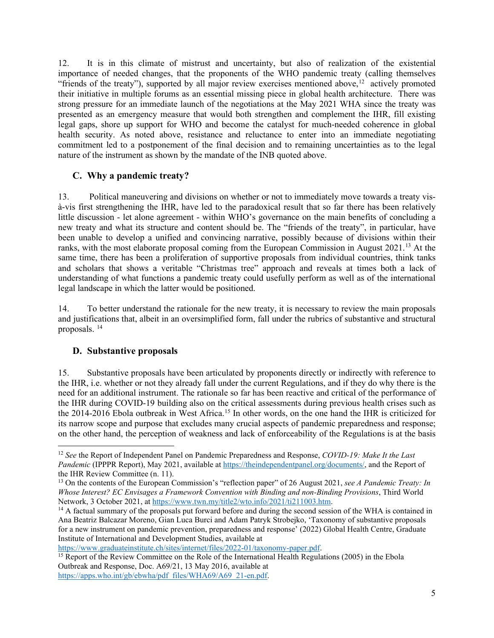12. It is in this climate of mistrust and uncertainty, but also of realization of the existential importance of needed changes, that the proponents of the WHO pandemic treaty (calling themselves "friends of the treaty"), supported by all major review exercises mentioned above,  $12$  actively promoted their initiative in multiple forums as an essential missing piece in global health architecture. There was strong pressure for an immediate launch of the negotiations at the May 2021 WHA since the treaty was presented as an emergency measure that would both strengthen and complement the IHR, fill existing legal gaps, shore up support for WHO and become the catalyst for much-needed coherence in global health security. As noted above, resistance and reluctance to enter into an immediate negotiating commitment led to a postponement of the final decision and to remaining uncertainties as to the legal nature of the instrument as shown by the mandate of the INB quoted above.

#### <span id="page-4-4"></span>**C. Why a pandemic treaty?**

13. Political maneuvering and divisions on whether or not to immediately move towards a treaty visà-vis first strengthening the IHR, have led to the paradoxical result that so far there has been relatively little discussion - let alone agreement - within WHO's governance on the main benefits of concluding a new treaty and what its structure and content should be. The "friends of the treaty", in particular, have been unable to develop a unified and convincing narrative, possibly because of divisions within their ranks, with the most elaborate proposal coming from the European Commission in August 2021.<sup>[13](#page-4-1)</sup> At the same time, there has been a proliferation of supportive proposals from individual countries, think tanks and scholars that shows a veritable "Christmas tree" approach and reveals at times both a lack of understanding of what functions a pandemic treaty could usefully perform as well as of the international legal landscape in which the latter would be positioned.

14. To better understand the rationale for the new treaty, it is necessary to review the main proposals and justifications that, albeit in an oversimplified form, fall under the rubrics of substantive and structural proposals. [14](#page-4-2)

#### **D. Substantive proposals**

15. Substantive proposals have been articulated by proponents directly or indirectly with reference to the IHR, i.e. whether or not they already fall under the current Regulations, and if they do why there is the need for an additional instrument. The rationale so far has been reactive and critical of the performance of the IHR during COVID-19 building also on the critical assessments during previous health crises such as the 2014-2016 Ebola outbreak in West Africa.<sup>[15](#page-4-3)</sup> In other words, on the one hand the IHR is criticized for its narrow scope and purpose that excludes many crucial aspects of pandemic preparedness and response; on the other hand, the perception of weakness and lack of enforceability of the Regulations is at the basis

<span id="page-4-0"></span><sup>12</sup> *See* the Report of Independent Panel on Pandemic Preparedness and Response, *COVID-19: Make It the Last Pandemic (IPPPR Report), May 2021, available a[t https://theindependentpanel.org/documents/,](https://theindependentpanel.org/documents/) and the Report of* the IHR Review Committee (n. [11\)](#page-3-5).

<span id="page-4-1"></span><sup>13</sup> On the contents of the European Commission's "reflection paper" of 26 August 2021, *see A Pandemic Treaty: In Whose Interest? EC Envisages a Framework Convention with Binding and non-Binding Provisions*, Third World

<span id="page-4-2"></span> $14$  A factual summary of the proposals put forward before and during the second session of the WHA is contained in Ana Beatriz Balcazar Moreno, Gian Luca Burci and Adam Patryk Strobejko, 'Taxonomy of substantive proposals for a new instrument on pandemic prevention, preparedness and response' (2022) Global Health Centre, Graduate Institute of International and Development Studies, available at

<span id="page-4-3"></span>[https://www.graduateinstitute.ch/sites/internet/files/2022-01/taxonomy-paper.pdf.](https://www.graduateinstitute.ch/sites/internet/files/2022-01/taxonomy-paper.pdf)<br><sup>15</sup> Report of the Review Committee on the Role of the International Health Regulations (2005) in the Ebola Outbreak and Response, Doc. A69/21, 13 May 2016, available at [https://apps.who.int/gb/ebwha/pdf\\_files/WHA69/A69\\_21-en.pdf.](https://apps.who.int/gb/ebwha/pdf_files/WHA69/A69_21-en.pdf)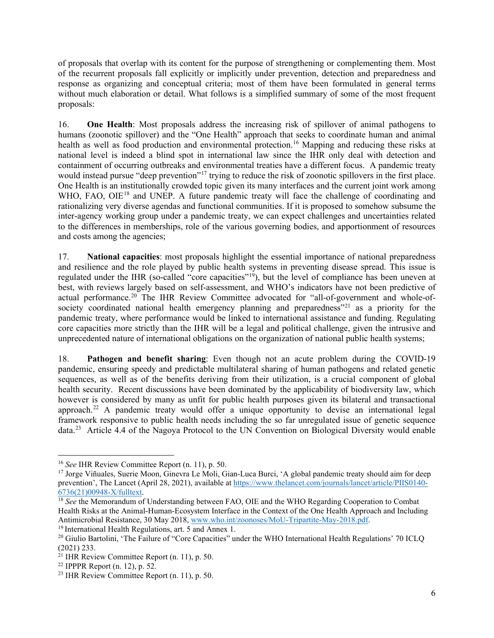of proposals that overlap with its content for the purpose of strengthening or complementing them. Most of the recurrent proposals fall explicitly or implicitly under prevention, detection and preparedness and response as organizing and conceptual criteria; most of them have been formulated in general terms without much elaboration or detail. What follows is a simplified summary of some of the most frequent proposals:

16. **One Health**: Most proposals address the increasing risk of spillover of animal pathogens to humans (zoonotic spillover) and the "One Health" approach that seeks to coordinate human and animal health as well as food production and environmental protection.<sup>16</sup> Mapping and reducing these risks at national level is indeed a blind spot in international law since the IHR only deal with detection and containment of occurring outbreaks and environmental treaties have a different focus. A pandemic treaty would instead pursue "deep prevention"<sup>[17](#page-5-1)</sup> trying to reduce the risk of zoonotic spillovers in the first place. One Health is an institutionally crowded topic given its many interfaces and the current joint work among WHO, FAO, OIE<sup>[18](#page-5-2)</sup> and UNEP. A future pandemic treaty will face the challenge of coordinating and rationalizing very diverse agendas and functional communities. If it is proposed to somehow subsume the inter-agency working group under a pandemic treaty, we can expect challenges and uncertainties related to the differences in memberships, role of the various governing bodies, and apportionment of resources and costs among the agencies;

17. **National capacities**: most proposals highlight the essential importance of national preparedness and resilience and the role played by public health systems in preventing disease spread. This issue is regulated under the IHR (so-called "core capacities"[19\)](#page-5-3), but the level of compliance has been uneven at best, with reviews largely based on self-assessment, and WHO's indicators have not been predictive of actual performance.<sup>[20](#page-5-4)</sup> The IHR Review Committee advocated for "all-of-government and whole-of-society coordinated national health emergency planning and preparedness<sup>"[21](#page-5-5)</sup> as a priority for the pandemic treaty, where performance would be linked to international assistance and funding. Regulating core capacities more strictly than the IHR will be a legal and political challenge, given the intrusive and unprecedented nature of international obligations on the organization of national public health systems;

18. **Pathogen and benefit sharing**: Even though not an acute problem during the COVID-19 pandemic, ensuring speedy and predictable multilateral sharing of human pathogens and related genetic sequences, as well as of the benefits deriving from their utilization, is a crucial component of global health security. Recent discussions have been dominated by the applicability of biodiversity law, which however is considered by many as unfit for public health purposes given its bilateral and transactional approach.<sup>[22](#page-5-6)</sup> A pandemic treaty would offer a unique opportunity to devise an international legal framework responsive to public health needs including the so far unregulated issue of genetic sequence data.[23](#page-5-7) Article 4.4 of the Nagoya Protocol to the UN Convention on Biological Diversity would enable

<span id="page-5-0"></span><sup>16</sup> *See* IHR Review Committee Report (n. [11\)](#page-3-5), p. 50.

<span id="page-5-1"></span><sup>&</sup>lt;sup>17</sup> Jorge Viñuales, Suerie Moon, Ginevra Le Moli, Gian-Luca Burci, 'A global pandemic treaty should aim for deep prevention', The Lancet (April 28, 2021), available a[t https://www.thelancet.com/journals/lancet/article/PIIS0140-](https://www.thelancet.com/journals/lancet/article/PIIS0140-6736(21)00948-X/fulltext)6736(21)00948-X/fulltext.

<span id="page-5-2"></span><sup>&</sup>lt;sup>18</sup> See the Memorandum of Understanding between FAO, OIE and the WHO Regarding Cooperation to Combat Health Risks at the Animal-Human-Ecosystem Interface in the Context of the One Health Approach and Including Antimicrobial Resistance, 30 May 2018[, www.who.int/zoonoses/MoU-Tripartite-May-2018.pdf.](http://www.who.int/zoonoses/MoU-Tripartite-May-2018.pdf) 19 International Health Regulations, art. 5 and Annex 1.

<span id="page-5-4"></span><span id="page-5-3"></span><sup>&</sup>lt;sup>20</sup> Giulio Bartolini, 'The Failure of "Core Capacities" under the WHO International Health Regulations' 70 ICLQ (2021) 233.

<span id="page-5-5"></span> $^{21}$  IHR Review Committee Report (n. [11\)](#page-3-5), p. 50.

<span id="page-5-6"></span><sup>22</sup> IPPPR Report (n. [12\)](#page-4-4), p. 52.

<span id="page-5-7"></span><sup>23</sup> IHR Review Committee Report (n. [11\)](#page-3-5), p. 50.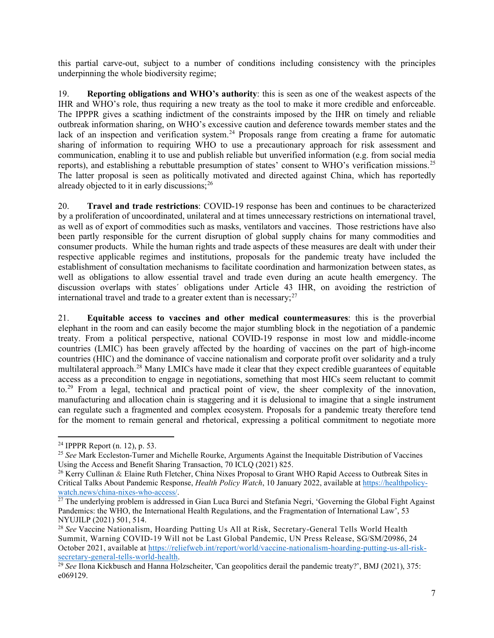this partial carve-out, subject to a number of conditions including consistency with the principles underpinning the whole biodiversity regime;

19. **Reporting obligations and WHO's authority**: this is seen as one of the weakest aspects of the IHR and WHO's role, thus requiring a new treaty as the tool to make it more credible and enforceable. The IPPPR gives a scathing indictment of the constraints imposed by the IHR on timely and reliable outbreak information sharing, on WHO's excessive caution and deference towards member states and the lack of an inspection and verification system.<sup>[24](#page-6-0)</sup> Proposals range from creating a frame for automatic sharing of information to requiring WHO to use a precautionary approach for risk assessment and communication, enabling it to use and publish reliable but unverified information (e.g. from social media reports), and establishing a rebuttable presumption of states' consent to WHO's verification missions.[25](#page-6-1) The latter proposal is seen as politically motivated and directed against China, which has reportedly already objected to it in early discussions;  $26$ 

20. **Travel and trade restrictions**: COVID-19 response has been and continues to be characterized by a proliferation of uncoordinated, unilateral and at times unnecessary restrictions on international travel, as well as of export of commodities such as masks, ventilators and vaccines. Those restrictions have also been partly responsible for the current disruption of global supply chains for many commodities and consumer products. While the human rights and trade aspects of these measures are dealt with under their respective applicable regimes and institutions, proposals for the pandemic treaty have included the establishment of consultation mechanisms to facilitate coordination and harmonization between states, as well as obligations to allow essential travel and trade even during an acute health emergency. The discussion overlaps with states´ obligations under Article 43 IHR, on avoiding the restriction of international travel and trade to a greater extent than is necessary; $^{27}$  $^{27}$  $^{27}$ 

21. **Equitable access to vaccines and other medical countermeasures**: this is the proverbial elephant in the room and can easily become the major stumbling block in the negotiation of a pandemic treaty. From a political perspective, national COVID-19 response in most low and middle-income countries (LMIC) has been gravely affected by the hoarding of vaccines on the part of high-income countries (HIC) and the dominance of vaccine nationalism and corporate profit over solidarity and a truly multilateral approach.<sup>[28](#page-6-4)</sup> Many LMICs have made it clear that they expect credible guarantees of equitable access as a precondition to engage in negotiations, something that most HICs seem reluctant to commit to.[29](#page-6-5) From a legal, technical and practical point of view, the sheer complexity of the innovation, manufacturing and allocation chain is staggering and it is delusional to imagine that a single instrument can regulate such a fragmented and complex ecosystem. Proposals for a pandemic treaty therefore tend for the moment to remain general and rhetorical, expressing a political commitment to negotiate more

<span id="page-6-0"></span><sup>24</sup> IPPPR Report (n. [12\)](#page-4-4), p. 53.

<span id="page-6-1"></span><sup>25</sup> *See* Mark Eccleston-Turner and Michelle Rourke, Arguments Against the Inequitable Distribution of Vaccines Using the Access and Benefit Sharing Transaction, 70 ICLQ (2021) 825.

<span id="page-6-2"></span><sup>&</sup>lt;sup>26</sup> Kerry Cullinan & Elaine Ruth Fletcher, China Nixes Proposal to Grant WHO Rapid Access to Outbreak Sites in Critical Talks About Pandemic Response, *Health Policy Watch*, 10 January 2022, available a[t https://healthpolicy-](https://healthpolicy-watch.news/china-nixes-who-access/)

<span id="page-6-3"></span> $\frac{27}{27}$  The underlying problem is addressed in Gian Luca Burci and Stefania Negri, 'Governing the Global Fight Against Pandemics: the WHO, the International Health Regulations, and the Fragmentation of International Law', 53 NYUJILP (2021) 501, 514.

<span id="page-6-4"></span><sup>28</sup> *See* Vaccine Nationalism, Hoarding Putting Us All at Risk, Secretary-General Tells World Health Summit, Warning COVID-19 Will not be Last Global Pandemic, UN Press Release, SG/SM/20986, 24 October 2021, available at [https://reliefweb.int/report/world/vaccine-nationalism-hoarding-putting-us-all-risk](https://reliefweb.int/report/world/vaccine-nationalism-hoarding-putting-us-all-risk-secretary-general-tells-world-health)[secretary-general-tells-world-health.](https://reliefweb.int/report/world/vaccine-nationalism-hoarding-putting-us-all-risk-secretary-general-tells-world-health)<br><sup>29</sup> *See* Ilona Kickbusch and Hanna Holzscheiter, 'Can geopolitics derail the pandemic treaty?', BMJ (2021), 375:

<span id="page-6-5"></span>e069129.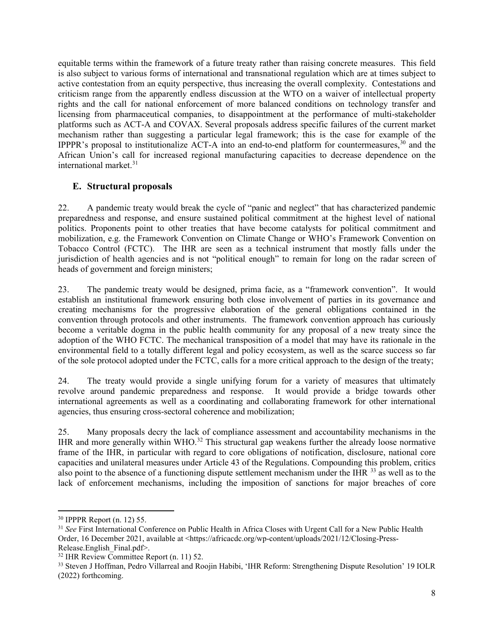equitable terms within the framework of a future treaty rather than raising concrete measures. This field is also subject to various forms of international and transnational regulation which are at times subject to active contestation from an equity perspective, thus increasing the overall complexity. Contestations and criticism range from the apparently endless discussion at the WTO on a waiver of intellectual property rights and the call for national enforcement of more balanced conditions on technology transfer and licensing from pharmaceutical companies, to disappointment at the performance of multi-stakeholder platforms such as ACT-A and COVAX. Several proposals address specific failures of the current market mechanism rather than suggesting a particular legal framework; this is the case for example of the IPPPR's proposal to institutionalize ACT-A into an end-to-end platform for countermeasures,  $30$  and the African Union's call for increased regional manufacturing capacities to decrease dependence on the international market.<sup>[31](#page-7-1)</sup>

#### **E. Structural proposals**

22. A pandemic treaty would break the cycle of "panic and neglect" that has characterized pandemic preparedness and response, and ensure sustained political commitment at the highest level of national politics. Proponents point to other treaties that have become catalysts for political commitment and mobilization, e.g. the Framework Convention on Climate Change or WHO's Framework Convention on Tobacco Control (FCTC). The IHR are seen as a technical instrument that mostly falls under the jurisdiction of health agencies and is not "political enough" to remain for long on the radar screen of heads of government and foreign ministers;

23. The pandemic treaty would be designed, prima facie, as a "framework convention". It would establish an institutional framework ensuring both close involvement of parties in its governance and creating mechanisms for the progressive elaboration of the general obligations contained in the convention through protocols and other instruments. The framework convention approach has curiously become a veritable dogma in the public health community for any proposal of a new treaty since the adoption of the WHO FCTC. The mechanical transposition of a model that may have its rationale in the environmental field to a totally different legal and policy ecosystem, as well as the scarce success so far of the sole protocol adopted under the FCTC, calls for a more critical approach to the design of the treaty;

24. The treaty would provide a single unifying forum for a variety of measures that ultimately revolve around pandemic preparedness and response. It would provide a bridge towards other international agreements as well as a coordinating and collaborating framework for other international agencies, thus ensuring cross-sectoral coherence and mobilization;

25. Many proposals decry the lack of compliance assessment and accountability mechanisms in the IHR and more generally within WHO.[32](#page-7-2) This structural gap weakens further the already loose normative frame of the IHR, in particular with regard to core obligations of notification, disclosure, national core capacities and unilateral measures under Article 43 of the Regulations. Compounding this problem, critics also point to the absence of a functioning dispute settlement mechanism under the IHR <sup>[33](#page-7-3)</sup> as well as to the lack of enforcement mechanisms, including the imposition of sanctions for major breaches of core

<span id="page-7-0"></span><sup>30</sup> IPPPR Report (n. [12\)](#page-4-4) 55.

<span id="page-7-1"></span><sup>31</sup> *See* First International Conference on Public Health in Africa Closes with Urgent Call for a New Public Health Order, 16 December 2021, available at <https://africacdc.org/wp-content/uploads/2021/12/Closing-Press-Release.English\_Final.pdf>.

<span id="page-7-3"></span><span id="page-7-2"></span> $32$  IHR Review Committee Report (n. [11\)](#page-3-5) 52.<br> $33$  Steven J Hoffman, Pedro Villarreal and Roojin Habibi, 'IHR Reform: Strengthening Dispute Resolution' 19 IOLR (2022) forthcoming.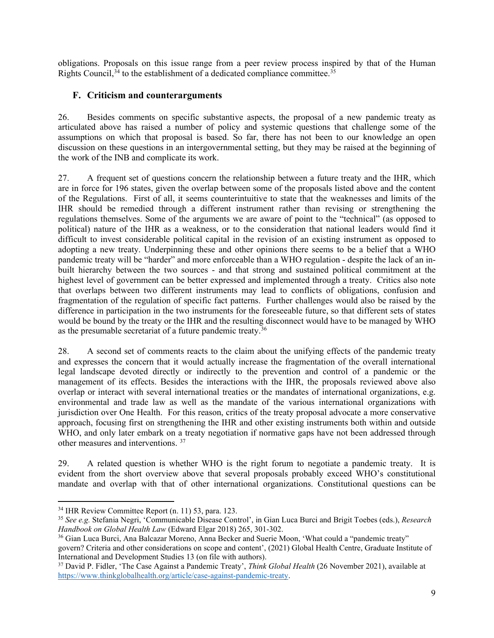obligations. Proposals on this issue range from a peer review process inspired by that of the Human Rights Council,  $34$  to the establishment of a dedicated compliance committee.  $35$ 

#### **F. Criticism and counterarguments**

26. Besides comments on specific substantive aspects, the proposal of a new pandemic treaty as articulated above has raised a number of policy and systemic questions that challenge some of the assumptions on which that proposal is based. So far, there has not been to our knowledge an open discussion on these questions in an intergovernmental setting, but they may be raised at the beginning of the work of the INB and complicate its work.

27. A frequent set of questions concern the relationship between a future treaty and the IHR, which are in force for 196 states, given the overlap between some of the proposals listed above and the content of the Regulations. First of all, it seems counterintuitive to state that the weaknesses and limits of the IHR should be remedied through a different instrument rather than revising or strengthening the regulations themselves. Some of the arguments we are aware of point to the "technical" (as opposed to political) nature of the IHR as a weakness, or to the consideration that national leaders would find it difficult to invest considerable political capital in the revision of an existing instrument as opposed to adopting a new treaty. Underpinning these and other opinions there seems to be a belief that a WHO pandemic treaty will be "harder" and more enforceable than a WHO regulation - despite the lack of an inbuilt hierarchy between the two sources - and that strong and sustained political commitment at the highest level of government can be better expressed and implemented through a treaty. Critics also note that overlaps between two different instruments may lead to conflicts of obligations, confusion and fragmentation of the regulation of specific fact patterns. Further challenges would also be raised by the difference in participation in the two instruments for the foreseeable future, so that different sets of states would be bound by the treaty or the IHR and the resulting disconnect would have to be managed by WHO as the presumable secretariat of a future pandemic treaty.[36](#page-8-2)

28. A second set of comments reacts to the claim about the unifying effects of the pandemic treaty and expresses the concern that it would actually increase the fragmentation of the overall international legal landscape devoted directly or indirectly to the prevention and control of a pandemic or the management of its effects. Besides the interactions with the IHR, the proposals reviewed above also overlap or interact with several international treaties or the mandates of international organizations, e.g. environmental and trade law as well as the mandate of the various international organizations with jurisdiction over One Health. For this reason, critics of the treaty proposal advocate a more conservative approach, focusing first on strengthening the IHR and other existing instruments both within and outside WHO, and only later embark on a treaty negotiation if normative gaps have not been addressed through other measures and interventions. [37](#page-8-3)

29. A related question is whether WHO is the right forum to negotiate a pandemic treaty. It is evident from the short overview above that several proposals probably exceed WHO's constitutional mandate and overlap with that of other international organizations. Constitutional questions can be

<span id="page-8-0"></span><sup>34</sup> IHR Review Committee Report (n. [11\)](#page-3-5) 53, para. 123.

<span id="page-8-1"></span><sup>35</sup> *See e.g.* Stefania Negri, 'Communicable Disease Control', in Gian Luca Burci and Brigit Toebes (eds.), *Research Handbook on Global Health Law* (Edward Elgar 2018) 265, 301-302.

<span id="page-8-2"></span><sup>36</sup> Gian Luca Burci, Ana Balcazar Moreno, Anna Becker and Suerie Moon, 'What could a "pandemic treaty" govern? Criteria and other considerations on scope and content', (2021) Global Health Centre, Graduate Institute of International and Development Studies 13 (on file with authors).

<span id="page-8-3"></span><sup>37</sup> David P. Fidler, 'The Case Against a Pandemic Treaty', *Think Global Health* (26 November 2021), available at [https://www.thinkglobalhealth.org/article/case-against-pandemic-treaty.](https://www.thinkglobalhealth.org/article/case-against-pandemic-treaty)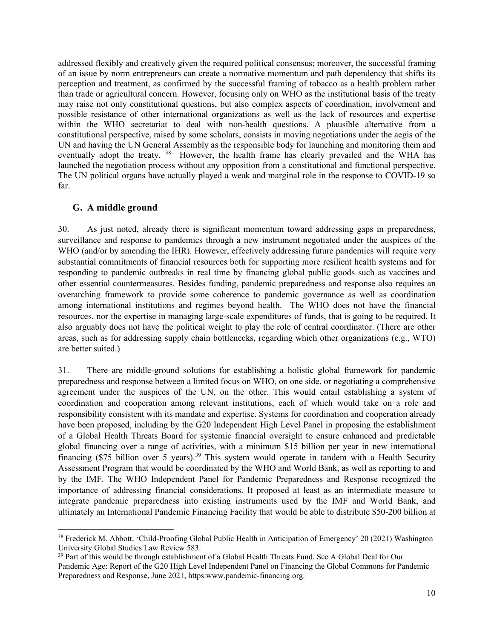addressed flexibly and creatively given the required political consensus; moreover, the successful framing of an issue by norm entrepreneurs can create a normative momentum and path dependency that shifts its perception and treatment, as confirmed by the successful framing of tobacco as a health problem rather than trade or agricultural concern. However, focusing only on WHO as the institutional basis of the treaty may raise not only constitutional questions, but also complex aspects of coordination, involvement and possible resistance of other international organizations as well as the lack of resources and expertise within the WHO secretariat to deal with non-health questions. A plausible alternative from a constitutional perspective, raised by some scholars, consists in moving negotiations under the aegis of the UN and having the UN General Assembly as the responsible body for launching and monitoring them and eventually adopt the treaty.<sup>[38](#page-9-0)</sup> However, the health frame has clearly prevailed and the WHA has launched the negotiation process without any opposition from a constitutional and functional perspective. The UN political organs have actually played a weak and marginal role in the response to COVID-19 so far.

#### **G. A middle ground**

30. As just noted, already there is significant momentum toward addressing gaps in preparedness, surveillance and response to pandemics through a new instrument negotiated under the auspices of the WHO (and/or by amending the IHR). However, effectively addressing future pandemics will require very substantial commitments of financial resources both for supporting more resilient health systems and for responding to pandemic outbreaks in real time by financing global public goods such as vaccines and other essential countermeasures. Besides funding, pandemic preparedness and response also requires an overarching framework to provide some coherence to pandemic governance as well as coordination among international institutions and regimes beyond health. The WHO does not have the financial resources, nor the expertise in managing large-scale expenditures of funds, that is going to be required. It also arguably does not have the political weight to play the role of central coordinator. (There are other areas, such as for addressing supply chain bottlenecks, regarding which other organizations (e.g., WTO) are better suited.)

31. There are middle-ground solutions for establishing a holistic global framework for pandemic preparedness and response between a limited focus on WHO, on one side, or negotiating a comprehensive agreement under the auspices of the UN, on the other. This would entail establishing a system of coordination and cooperation among relevant institutions, each of which would take on a role and responsibility consistent with its mandate and expertise. Systems for coordination and cooperation already have been proposed, including by the G20 Independent High Level Panel in proposing the establishment of a Global Health Threats Board for systemic financial oversight to ensure enhanced and predictable global financing over a range of activities, with a minimum \$15 billion per year in new international financing (\$75 billion over 5 years).<sup>[39](#page-9-1)</sup> This system would operate in tandem with a Health Security Assessment Program that would be coordinated by the WHO and World Bank, as well as reporting to and by the IMF. The WHO Independent Panel for Pandemic Preparedness and Response recognized the importance of addressing financial considerations. It proposed at least as an intermediate measure to integrate pandemic preparedness into existing instruments used by the IMF and World Bank, and ultimately an International Pandemic Financing Facility that would be able to distribute \$50-200 billion at

<span id="page-9-0"></span><sup>&</sup>lt;sup>38</sup> Frederick M. Abbott, 'Child-Proofing Global Public Health in Anticipation of Emergency' 20 (2021) Washington University Global Studies Law Review 583.

<span id="page-9-1"></span><sup>&</sup>lt;sup>39</sup> Part of this would be through establishment of a Global Health Threats Fund. See A Global Deal for Our Pandemic Age: Report of the G20 High Level Independent Panel on Financing the Global Commons for Pandemic Preparedness and Response, June 2021, https:www.pandemic-financing.org.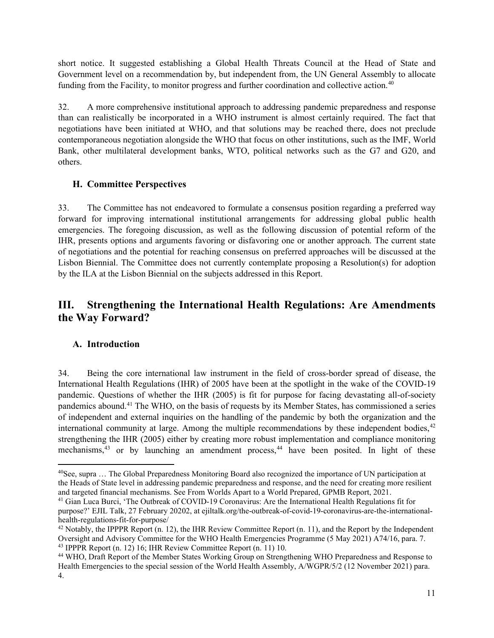short notice. It suggested establishing a Global Health Threats Council at the Head of State and Government level on a recommendation by, but independent from, the UN General Assembly to allocate funding from the Facility, to monitor progress and further coordination and collective action.<sup>[40](#page-10-0)</sup>

32. A more comprehensive institutional approach to addressing pandemic preparedness and response than can realistically be incorporated in a WHO instrument is almost certainly required. The fact that negotiations have been initiated at WHO, and that solutions may be reached there, does not preclude contemporaneous negotiation alongside the WHO that focus on other institutions, such as the IMF, World Bank, other multilateral development banks, WTO, political networks such as the G7 and G20, and others.

#### **H. Committee Perspectives**

33. The Committee has not endeavored to formulate a consensus position regarding a preferred way forward for improving international institutional arrangements for addressing global public health emergencies. The foregoing discussion, as well as the following discussion of potential reform of the IHR, presents options and arguments favoring or disfavoring one or another approach. The current state of negotiations and the potential for reaching consensus on preferred approaches will be discussed at the Lisbon Biennial. The Committee does not currently contemplate proposing a Resolution(s) for adoption by the ILA at the Lisbon Biennial on the subjects addressed in this Report.

## **III. Strengthening the International Health Regulations: Are Amendments the Way Forward?**

#### **A. Introduction**

34. Being the core international law instrument in the field of cross-border spread of disease, the International Health Regulations (IHR) of 2005 have been at the spotlight in the wake of the COVID-19 pandemic. Questions of whether the IHR (2005) is fit for purpose for facing devastating all-of-society pandemics abound[.41](#page-10-1) The WHO, on the basis of requests by its Member States, has commissioned a series of independent and external inquiries on the handling of the pandemic by both the organization and the international community at large. Among the multiple recommendations by these independent bodies,<sup>[42](#page-10-2)</sup> strengthening the IHR (2005) either by creating more robust implementation and compliance monitoring mechanisms,<sup>[43](#page-10-3)</sup> or by launching an amendment process,<sup>[44](#page-10-4)</sup> have been posited. In light of these

<span id="page-10-0"></span><sup>40</sup>See, supra … The Global Preparedness Monitoring Board also recognized the importance of UN participation at the Heads of State level in addressing pandemic preparedness and response, and the need for creating more resilient and targeted financial mechanisms. See From Worlds Apart to a World Prepared, GPMB Report, 2021.

<span id="page-10-1"></span><sup>41</sup> Gian Luca Burci, 'The Outbreak of COVID-19 Coronavirus: Are the International Health Regulations fit for purpose?' EJIL Talk, 27 February 20202, at ejiltalk.org/the-outbreak-of-covid-19-coronavirus-are-the-internationalhealth-regulations-fit-for-purpose/

<span id="page-10-2"></span> $42$  Notably, the IPPPR Report (n. [12\)](#page-4-4), the IHR Review Committee Report (n. [11\)](#page-3-5), and the Report by the Independent Oversight and Advisory Committee for the WHO Health Emergencies Programme (5 May 2021) A74/16, para. 7. <sup>43</sup> IPPPR Report (n. [12\)](#page-4-4) 16; IHR Review Committee Report (n. [11\)](#page-3-5) 10.

<span id="page-10-4"></span><span id="page-10-3"></span><sup>44</sup> WHO, Draft Report of the Member States Working Group on Strengthening WHO Preparedness and Response to Health Emergencies to the special session of the World Health Assembly, A/WGPR/5/2 (12 November 2021) para. 4.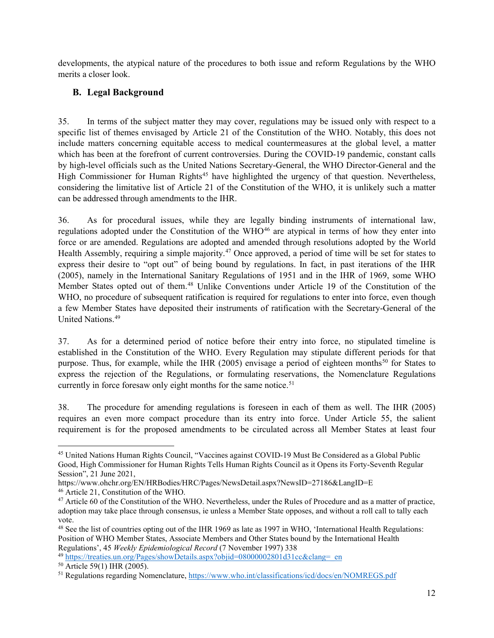developments, the atypical nature of the procedures to both issue and reform Regulations by the WHO merits a closer look.

## **B. Legal Background**

35. In terms of the subject matter they may cover, regulations may be issued only with respect to a specific list of themes envisaged by Article 21 of the Constitution of the WHO. Notably, this does not include matters concerning equitable access to medical countermeasures at the global level, a matter which has been at the forefront of current controversies. During the COVID-19 pandemic, constant calls by high-level officials such as the United Nations Secretary-General, the WHO Director-General and the High Commissioner for Human Rights<sup>[45](#page-11-0)</sup> have highlighted the urgency of that question. Nevertheless, considering the limitative list of Article 21 of the Constitution of the WHO, it is unlikely such a matter can be addressed through amendments to the IHR.

36. As for procedural issues, while they are legally binding instruments of international law, regulations adopted under the Constitution of the WHO<sup>[46](#page-11-1)</sup> are atypical in terms of how they enter into force or are amended. Regulations are adopted and amended through resolutions adopted by the World Health Assembly, requiring a simple majority.<sup>[47](#page-11-2)</sup> Once approved, a period of time will be set for states to express their desire to "opt out" of being bound by regulations. In fact, in past iterations of the IHR (2005), namely in the International Sanitary Regulations of 1951 and in the IHR of 1969, some WHO Member States opted out of them.[48](#page-11-3) Unlike Conventions under Article 19 of the Constitution of the WHO, no procedure of subsequent ratification is required for regulations to enter into force, even though a few Member States have deposited their instruments of ratification with the Secretary-General of the United Nations.[49](#page-11-4)

37. As for a determined period of notice before their entry into force, no stipulated timeline is established in the Constitution of the WHO. Every Regulation may stipulate different periods for that purpose. Thus, for example, while the IHR (2005) envisage a period of eighteen months<sup>[50](#page-11-5)</sup> for States to express the rejection of the Regulations, or formulating reservations, the Nomenclature Regulations currently in force foresaw only eight months for the same notice.<sup>[51](#page-11-6)</sup>

38. The procedure for amending regulations is foreseen in each of them as well. The IHR (2005) requires an even more compact procedure than its entry into force. Under Article 55, the salient requirement is for the proposed amendments to be circulated across all Member States at least four

<span id="page-11-0"></span><sup>&</sup>lt;sup>45</sup> United Nations Human Rights Council, "Vaccines against COVID-19 Must Be Considered as a Global Public Good, High Commissioner for Human Rights Tells Human Rights Council as it Opens its Forty-Seventh Regular Session", 21 June 2021,

https://www.ohchr.org/EN/HRBodies/HRC/Pages/NewsDetail.aspx?NewsID=27186&LangID=E

<span id="page-11-1"></span><sup>46</sup> Article 21, Constitution of the WHO.

<span id="page-11-2"></span><sup>&</sup>lt;sup>47</sup> Article 60 of the Constitution of the WHO. Nevertheless, under the Rules of Procedure and as a matter of practice, adoption may take place through consensus, ie unless a Member State opposes, and without a roll call to tally each vote.

<span id="page-11-3"></span><sup>&</sup>lt;sup>48</sup> See the list of countries opting out of the IHR 1969 as late as 1997 in WHO, 'International Health Regulations: Position of WHO Member States, Associate Members and Other States bound by the International Health Regulations', 45 *Weekly Epidemiological Record* (7 November 1997) 338

<span id="page-11-4"></span>

<span id="page-11-6"></span><span id="page-11-5"></span><sup>&</sup>lt;sup>50</sup> Article 59(1) IHR (2005).<br><sup>51</sup> Regulations regarding Nomenclature, https://www.who.int/classifications/icd/docs/en/NOMREGS.pdf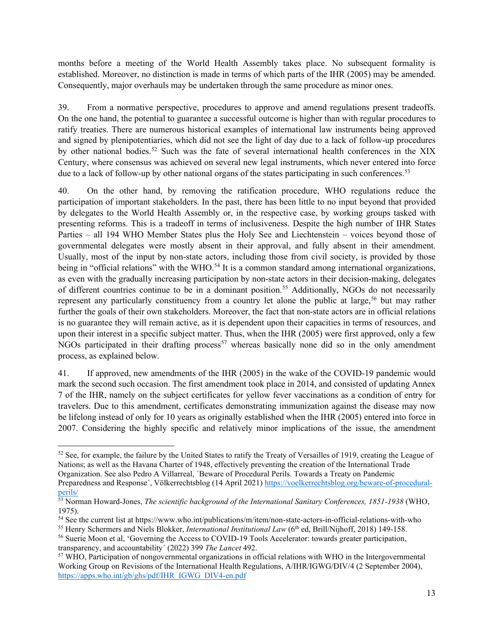months before a meeting of the World Health Assembly takes place. No subsequent formality is established. Moreover, no distinction is made in terms of which parts of the IHR (2005) may be amended. Consequently, major overhauls may be undertaken through the same procedure as minor ones.

39. From a normative perspective, procedures to approve and amend regulations present tradeoffs. On the one hand, the potential to guarantee a successful outcome is higher than with regular procedures to ratify treaties. There are numerous historical examples of international law instruments being approved and signed by plenipotentiaries, which did not see the light of day due to a lack of follow-up procedures by other national bodies.<sup>[52](#page-12-0)</sup> Such was the fate of several international health conferences in the XIX Century, where consensus was achieved on several new legal instruments, which never entered into force due to a lack of follow-up by other national organs of the states participating in such conferences.<sup>53</sup>

40. On the other hand, by removing the ratification procedure, WHO regulations reduce the participation of important stakeholders. In the past, there has been little to no input beyond that provided by delegates to the World Health Assembly or, in the respective case, by working groups tasked with presenting reforms. This is a tradeoff in terms of inclusiveness. Despite the high number of IHR States Parties – all 194 WHO Member States plus the Holy See and Liechtenstein – voices beyond those of governmental delegates were mostly absent in their approval, and fully absent in their amendment. Usually, most of the input by non-state actors, including those from civil society, is provided by those being in "official relations" with the WHO.<sup>[54](#page-12-2)</sup> It is a common standard among international organizations, as even with the gradually increasing participation by non-state actors in their decision-making, delegates of different countries continue to be in a dominant position.<sup>[55](#page-12-3)</sup> Additionally, NGOs do not necessarily represent any particularly constituency from a country let alone the public at large,<sup>[56](#page-12-4)</sup> but may rather further the goals of their own stakeholders. Moreover, the fact that non-state actors are in official relations is no guarantee they will remain active, as it is dependent upon their capacities in terms of resources, and upon their interest in a specific subject matter. Thus, when the IHR (2005) were first approved, only a few  $NGOs$  participated in their drafting process<sup>[57](#page-12-5)</sup> whereas basically none did so in the only amendment process, as explained below.

41. If approved, new amendments of the IHR (2005) in the wake of the COVID-19 pandemic would mark the second such occasion. The first amendment took place in 2014, and consisted of updating Annex 7 of the IHR, namely on the subject certificates for yellow fever vaccinations as a condition of entry for travelers. Due to this amendment, certificates demonstrating immunization against the disease may now be lifelong instead of only for 10 years as originally established when the IHR (2005) entered into force in 2007. Considering the highly specific and relatively minor implications of the issue, the amendment

<span id="page-12-3"></span><sup>55</sup> Henry Schermers and Niels Blokker, *International Institutional Law* (6<sup>th</sup> ed, Brill/Nijhoff, 2018) 149-158.

<span id="page-12-0"></span><sup>&</sup>lt;sup>52</sup> See, for example, the failure by the United States to ratify the Treaty of Versailles of 1919, creating the League of Nations; as well as the Havana Charter of 1948, effectively preventing the creation of the International Trade Organization. See also Pedro A Villarreal, ´Beware of Procedural Perils. Towards a Treaty on Pandemic

Preparedness and Response´, Völkerrechtsblog (14 April 2021) [https://voelkerrechtsblog.org/beware-of-procedural](https://voelkerrechtsblog.org/beware-of-procedural-perils/)[perils/](https://voelkerrechtsblog.org/beware-of-procedural-perils/) 53 Norman Howard-Jones, *The scientific background of the International Sanitary Conferences, 1851-1938* (WHO,

<span id="page-12-1"></span><sup>1975).</sup>

<span id="page-12-2"></span><sup>54</sup> See the current list at https://www.who.int/publications/m/item/non-state-actors-in-official-relations-with-who

<span id="page-12-4"></span><sup>56</sup> Suerie Moon et al, 'Governing the Access to COVID-19 Tools Accelerator: towards greater participation, transparency, and accountability<sup>'</sup> (2022) 399 *The Lancet* 492.<br><sup>57</sup> WHO, Participation of nongovernmental organizations in official relations with WHO in the Intergovernmental

<span id="page-12-5"></span>Working Group on Revisions of the International Health Regulations, A/IHR/IGWG/DIV/4 (2 September 2004), [https://apps.who.int/gb/ghs/pdf/IHR\\_IGWG\\_DIV4-en.pdf](https://apps.who.int/gb/ghs/pdf/IHR_IGWG_DIV4-en.pdf)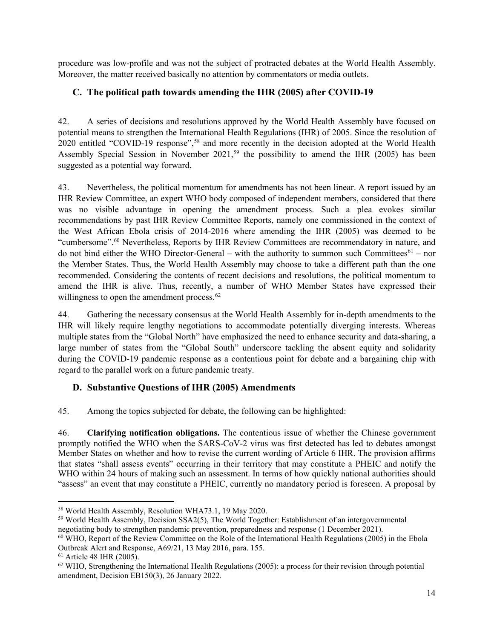procedure was low-profile and was not the subject of protracted debates at the World Health Assembly. Moreover, the matter received basically no attention by commentators or media outlets.

## **C. The political path towards amending the IHR (2005) after COVID-19**

42. A series of decisions and resolutions approved by the World Health Assembly have focused on potential means to strengthen the International Health Regulations (IHR) of 2005. Since the resolution of 2020 entitled "COVID-19 response", [58](#page-13-0) and more recently in the decision adopted at the World Health Assembly Special Session in November 2021,<sup>[59](#page-13-1)</sup> the possibility to amend the IHR (2005) has been suggested as a potential way forward.

43. Nevertheless, the political momentum for amendments has not been linear. A report issued by an IHR Review Committee, an expert WHO body composed of independent members, considered that there was no visible advantage in opening the amendment process. Such a plea evokes similar recommendations by past IHR Review Committee Reports, namely one commissioned in the context of the West African Ebola crisis of 2014-2016 where amending the IHR (2005) was deemed to be "cumbersome".[60](#page-13-2) Nevertheless, Reports by IHR Review Committees are recommendatory in nature, and do not bind either the WHO Director-General – with the authority to summon such Committees<sup>[61](#page-13-3)</sup> – nor the Member States. Thus, the World Health Assembly may choose to take a different path than the one recommended. Considering the contents of recent decisions and resolutions, the political momentum to amend the IHR is alive. Thus, recently, a number of WHO Member States have expressed their willingness to open the amendment process.<sup>[62](#page-13-4)</sup>

44. Gathering the necessary consensus at the World Health Assembly for in-depth amendments to the IHR will likely require lengthy negotiations to accommodate potentially diverging interests. Whereas multiple states from the "Global North" have emphasized the need to enhance security and data-sharing, a large number of states from the "Global South" underscore tackling the absent equity and solidarity during the COVID-19 pandemic response as a contentious point for debate and a bargaining chip with regard to the parallel work on a future pandemic treaty.

#### **D. Substantive Questions of IHR (2005) Amendments**

45. Among the topics subjected for debate, the following can be highlighted:

46. **Clarifying notification obligations.** The contentious issue of whether the Chinese government promptly notified the WHO when the SARS-CoV-2 virus was first detected has led to debates amongst Member States on whether and how to revise the current wording of Article 6 IHR. The provision affirms that states "shall assess events" occurring in their territory that may constitute a PHEIC and notify the WHO within 24 hours of making such an assessment. In terms of how quickly national authorities should "assess" an event that may constitute a PHEIC, currently no mandatory period is foreseen. A proposal by

<span id="page-13-0"></span><sup>58</sup> World Health Assembly, Resolution WHA73.1, 19 May 2020.

<span id="page-13-1"></span><sup>59</sup> World Health Assembly, Decision SSA2(5), The World Together: Establishment of an intergovernmental negotiating body to strengthen pandemic prevention, preparedness and response (1 December 2021).

<span id="page-13-2"></span><sup>60</sup> WHO, Report of the Review Committee on the Role of the International Health Regulations (2005) in the Ebola Outbreak Alert and Response, A69/21, 13 May 2016, para. 155.

<span id="page-13-3"></span><sup>61</sup> Article 48 IHR (2005).

<span id="page-13-4"></span> $62$  WHO, Strengthening the International Health Regulations (2005): a process for their revision through potential amendment, Decision EB150(3), 26 January 2022.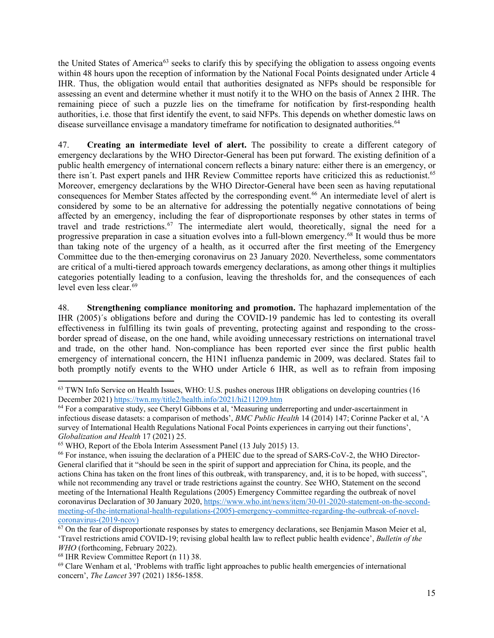the United States of America<sup>[63](#page-14-0)</sup> seeks to clarify this by specifying the obligation to assess ongoing events within 48 hours upon the reception of information by the National Focal Points designated under Article 4 IHR. Thus, the obligation would entail that authorities designated as NFPs should be responsible for assessing an event and determine whether it must notify it to the WHO on the basis of Annex 2 IHR. The remaining piece of such a puzzle lies on the timeframe for notification by first-responding health authorities, i.e. those that first identify the event, to said NFPs. This depends on whether domestic laws on disease surveillance envisage a mandatory timeframe for notification to designated authorities.<sup>64</sup>

47. **Creating an intermediate level of alert.** The possibility to create a different category of emergency declarations by the WHO Director-General has been put forward. The existing definition of a public health emergency of international concern reflects a binary nature: either there is an emergency, or there isn´t. Past expert panels and IHR Review Committee reports have criticized this as reductionist.[65](#page-14-2) Moreover, emergency declarations by the WHO Director-General have been seen as having reputational consequences for Member States affected by the corresponding event.<sup>[66](#page-14-3)</sup> An intermediate level of alert is considered by some to be an alternative for addressing the potentially negative connotations of being affected by an emergency, including the fear of disproportionate responses by other states in terms of travel and trade restrictions.<sup>67</sup> The intermediate alert would, theoretically, signal the need for a progressive preparation in case a situation evolves into a full-blown emergency.<sup>[68](#page-14-5)</sup> It would thus be more than taking note of the urgency of a health, as it occurred after the first meeting of the Emergency Committee due to the then-emerging coronavirus on 23 January 2020. Nevertheless, some commentators are critical of a multi-tiered approach towards emergency declarations, as among other things it multiplies categories potentially leading to a confusion, leaving the thresholds for, and the consequences of each level even less clear.<sup>69</sup>

48. **Strengthening compliance monitoring and promotion.** The haphazard implementation of the IHR (2005)´s obligations before and during the COVID-19 pandemic has led to contesting its overall effectiveness in fulfilling its twin goals of preventing, protecting against and responding to the crossborder spread of disease, on the one hand, while avoiding unnecessary restrictions on international travel and trade, on the other hand. Non-compliance has been reported ever since the first public health emergency of international concern, the H1N1 influenza pandemic in 2009, was declared. States fail to both promptly notify events to the WHO under Article 6 IHR, as well as to refrain from imposing

<span id="page-14-0"></span> $63$  TWN Info Service on Health Issues, WHO: U.S. pushes onerous IHR obligations on developing countries (16 December 2021) https://twn.my/title2/health.info/2021/hi211209.htm

<span id="page-14-1"></span><sup>&</sup>lt;sup>64</sup> For a comparative study, see Cheryl Gibbons et al, 'Measuring underreporting and under-ascertainment in infectious disease datasets: a comparison of methods', *BMC Public Health* 14 (2014) 147; Corinne Packer et al, 'A survey of International Health Regulations National Focal Points experiences in carrying out their functions', *Globalization and Health* 17 (2021) 25.<br><sup>65</sup> WHO, Report of the Ebola Interim Assessment Panel (13 July 2015) 13.

<span id="page-14-2"></span>

<span id="page-14-3"></span><sup>66</sup> For instance, when issuing the declaration of a PHEIC due to the spread of SARS-CoV-2, the WHO Director-General clarified that it "should be seen in the spirit of support and appreciation for China, its people, and the actions China has taken on the front lines of this outbreak, with transparency, and, it is to be hoped, with success", while not recommending any travel or trade restrictions against the country. See WHO, Statement on the second meeting of the International Health Regulations (2005) Emergency Committee regarding the outbreak of novel coronavirus Declaration of 30 January 2020, [https://www.who.int/news/item/30-01-2020-statement-on-the-second](https://www.who.int/news/item/30-01-2020-statement-on-the-second-meeting-of-the-international-health-regulations-(2005)-emergency-committee-regarding-the-outbreak-of-novel-coronavirus-(2019-ncov))[meeting-of-the-international-health-regulations-\(2005\)-emergency-committee-regarding-the-outbreak-of-novel-](https://www.who.int/news/item/30-01-2020-statement-on-the-second-meeting-of-the-international-health-regulations-(2005)-emergency-committee-regarding-the-outbreak-of-novel-coronavirus-(2019-ncov)) $\frac{\text{coronavirus} - (2019\text{-ncov})}{67}$  On the fear of disproportionate responses by states to emergency declarations, see Benjamin Mason Meier et al,

<span id="page-14-4"></span><sup>&#</sup>x27;Travel restrictions amid COVID-19; revising global health law to reflect public health evidence', *Bulletin of the WHO* (forthcoming, February 2022).

<span id="page-14-5"></span><sup>68</sup> IHR Review Committee Report (n [11\)](#page-3-5) 38.

<span id="page-14-6"></span><sup>69</sup> Clare Wenham et al, 'Problems with traffic light approaches to public health emergencies of international concern', *The Lancet* 397 (2021) 1856-1858.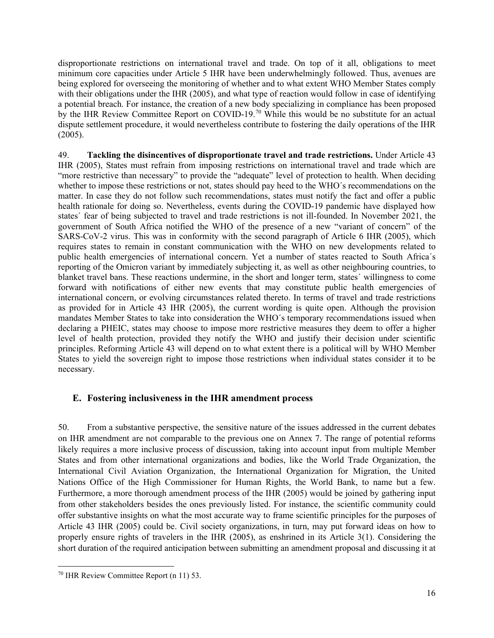disproportionate restrictions on international travel and trade. On top of it all, obligations to meet minimum core capacities under Article 5 IHR have been underwhelmingly followed. Thus, avenues are being explored for overseeing the monitoring of whether and to what extent WHO Member States comply with their obligations under the IHR (2005), and what type of reaction would follow in case of identifying a potential breach. For instance, the creation of a new body specializing in compliance has been proposed by the IHR Review Committee Report on COVID-19.[70](#page-15-0) While this would be no substitute for an actual dispute settlement procedure, it would nevertheless contribute to fostering the daily operations of the IHR (2005).

49. **Tackling the disincentives of disproportionate travel and trade restrictions.** Under Article 43 IHR (2005), States must refrain from imposing restrictions on international travel and trade which are "more restrictive than necessary" to provide the "adequate" level of protection to health. When deciding whether to impose these restrictions or not, states should pay heed to the WHO´s recommendations on the matter. In case they do not follow such recommendations, states must notify the fact and offer a public health rationale for doing so. Nevertheless, events during the COVID-19 pandemic have displayed how states´ fear of being subjected to travel and trade restrictions is not ill-founded. In November 2021, the government of South Africa notified the WHO of the presence of a new "variant of concern" of the SARS-CoV-2 virus. This was in conformity with the second paragraph of Article 6 IHR (2005), which requires states to remain in constant communication with the WHO on new developments related to public health emergencies of international concern. Yet a number of states reacted to South Africa´s reporting of the Omicron variant by immediately subjecting it, as well as other neighbouring countries, to blanket travel bans. These reactions undermine, in the short and longer term, states´ willingness to come forward with notifications of either new events that may constitute public health emergencies of international concern, or evolving circumstances related thereto. In terms of travel and trade restrictions as provided for in Article 43 IHR (2005), the current wording is quite open. Although the provision mandates Member States to take into consideration the WHO´s temporary recommendations issued when declaring a PHEIC, states may choose to impose more restrictive measures they deem to offer a higher level of health protection, provided they notify the WHO and justify their decision under scientific principles. Reforming Article 43 will depend on to what extent there is a political will by WHO Member States to yield the sovereign right to impose those restrictions when individual states consider it to be necessary.

#### **E. Fostering inclusiveness in the IHR amendment process**

50. From a substantive perspective, the sensitive nature of the issues addressed in the current debates on IHR amendment are not comparable to the previous one on Annex 7. The range of potential reforms likely requires a more inclusive process of discussion, taking into account input from multiple Member States and from other international organizations and bodies, like the World Trade Organization, the International Civil Aviation Organization, the International Organization for Migration, the United Nations Office of the High Commissioner for Human Rights, the World Bank, to name but a few. Furthermore, a more thorough amendment process of the IHR (2005) would be joined by gathering input from other stakeholders besides the ones previously listed. For instance, the scientific community could offer substantive insights on what the most accurate way to frame scientific principles for the purposes of Article 43 IHR (2005) could be. Civil society organizations, in turn, may put forward ideas on how to properly ensure rights of travelers in the IHR (2005), as enshrined in its Article 3(1). Considering the short duration of the required anticipation between submitting an amendment proposal and discussing it at

<span id="page-15-0"></span><sup>70</sup> IHR Review Committee Report (n [11\)](#page-3-5) 53.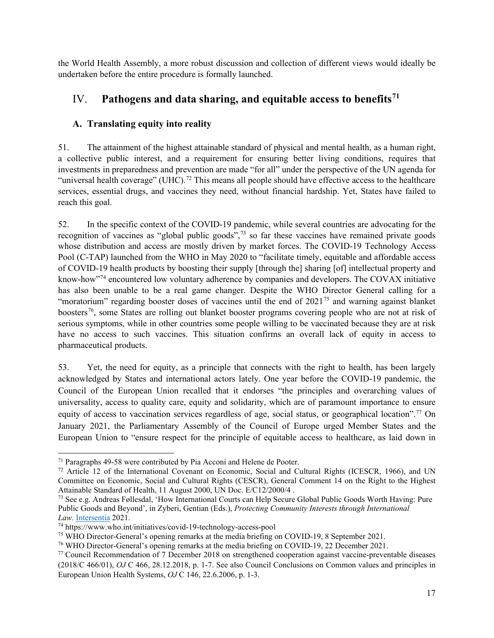the World Health Assembly, a more robust discussion and collection of different views would ideally be undertaken before the entire procedure is formally launched.

## IV. **Pathogens and data sharing, and equitable access to benefits[71](#page-16-0)**

## **A. Translating equity into reality**

51. The attainment of the highest attainable standard of physical and mental health, as a human right, a collective public interest, and a requirement for ensuring better living conditions, requires that investments in preparedness and prevention are made "for all" under the perspective of the UN agenda for "universal health coverage" (UHC).<sup>[72](#page-16-1)</sup> This means all people should have effective access to the healthcare services, essential drugs, and vaccines they need, without financial hardship. Yet, States have failed to reach this goal.

52. In the specific context of the COVID-19 pandemic, while several countries are advocating for the recognition of vaccines as "global public goods",<sup>[73](#page-16-2)</sup> so far these vaccines have remained private goods whose distribution and access are mostly driven by market forces. The COVID-19 Technology Access Pool (C-TAP) launched from the WHO in May 2020 to "facilitate timely, equitable and affordable access of COVID-19 health products by boosting their supply [through the] sharing [of] intellectual property and know-how"[74](#page-16-3) encountered low voluntary adherence by companies and developers. The COVAX initiative has also been unable to be a real game changer. Despite the WHO Director General calling for a "moratorium" regarding booster doses of vaccines until the end of  $2021^{75}$  $2021^{75}$  $2021^{75}$  and warning against blanket boosters[76](#page-16-5), some States are rolling out blanket booster programs covering people who are not at risk of serious symptoms, while in other countries some people willing to be vaccinated because they are at risk have no access to such vaccines. This situation confirms an overall lack of equity in access to pharmaceutical products.

53. Yet, the need for equity, as a principle that connects with the right to health, has been largely acknowledged by States and international actors lately. One year before the COVID-19 pandemic, the Council of the European Union recalled that it endorses "the principles and overarching values of universality, access to quality care, equity and solidarity, which are of paramount importance to ensure equity of access to vaccination services regardless of age, social status, or geographical location".<sup>[77](#page-16-6)</sup> On January 2021, the Parliamentary Assembly of the Council of Europe urged Member States and the European Union to "ensure respect for the principle of equitable access to healthcare, as laid down in

<span id="page-16-0"></span><sup>71</sup> Paragraphs 49-58 were contributed by Pia Acconi and Helene de Pooter.

<span id="page-16-1"></span><sup>72</sup> Article 12 of the International Covenant on Economic, Social and Cultural Rights (ICESCR, 1966), and UN Committee on Economic, Social and Cultural Rights (CESCR), General Comment 14 on the Right to the Highest Attainable Standard of Health, 11 August 2000, UN Doc. E/C12/2000/4 .

<span id="page-16-2"></span><sup>73</sup> See e.g. Andreas Føllesdal, 'How International Courts can Help Secure Global Public Goods Worth Having: Pure Public Goods and Beyond', in Zyberi, Gentian (Eds.), *Protecting Community Interests through International Law.* [Intersentia](http://www.intersentia.com/) 2021.

<span id="page-16-3"></span><sup>74</sup> https://www.who.int/initiatives/covid-19-technology-access-pool

<span id="page-16-4"></span><sup>75</sup> WHO Director-General's opening remarks at the media briefing on COVID-19, 8 September 2021.

<span id="page-16-5"></span><sup>76</sup> WHO Director-General's opening remarks at the media briefing on COVID-19, 22 December 2021.

<span id="page-16-6"></span><sup>77</sup> Council Recommendation of 7 December 2018 on strengthened cooperation against vaccine-preventable diseases (2018/C 466/01), *OJ* C 466, 28.12.2018, p. 1-7. See also Council Conclusions on Common values and principles in European Union Health Systems, *OJ* C 146, 22.6.2006, p. 1-3.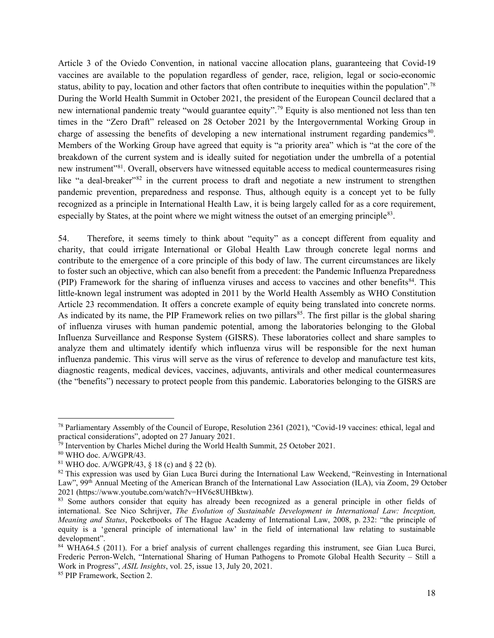Article 3 of the Oviedo Convention, in national vaccine allocation plans, guaranteeing that Covid-19 vaccines are available to the population regardless of gender, race, religion, legal or socio-economic status, ability to pay, location and other factors that often contribute to inequities within the population".[78](#page-17-0) During the World Health Summit in October 2021, the president of the European Council declared that a new international pandemic treaty "would guarantee equity".<sup>[79](#page-17-1)</sup> Equity is also mentioned not less than ten times in the "Zero Draft" released on 28 October 2021 by the Intergovernmental Working Group in charge of assessing the benefits of developing a new international instrument regarding pandemics<sup>[80](#page-17-2)</sup>. Members of the Working Group have agreed that equity is "a priority area" which is "at the core of the breakdown of the current system and is ideally suited for negotiation under the umbrella of a potential new instrument"<sup>81</sup>. Overall, observers have witnessed equitable access to medical countermeasures rising like "a deal-breaker"<sup>[82](#page-17-4)</sup> in the current process to draft and negotiate a new instrument to strengthen pandemic prevention, preparedness and response. Thus, although equity is a concept yet to be fully recognized as a principle in International Health Law, it is being largely called for as a core requirement, especially by States, at the point where we might witness the outset of an emerging principle<sup>[83](#page-17-5)</sup>.

54. Therefore, it seems timely to think about "equity" as a concept different from equality and charity, that could irrigate International or Global Health Law through concrete legal norms and contribute to the emergence of a core principle of this body of law. The current circumstances are likely to foster such an objective, which can also benefit from a precedent: the Pandemic Influenza Preparedness (PIP) Framework for the sharing of influenza viruses and access to vaccines and other benefits<sup>84</sup>. This little-known legal instrument was adopted in 2011 by the World Health Assembly as WHO Constitution Article 23 recommendation. It offers a concrete example of equity being translated into concrete norms. As indicated by its name, the PIP Framework relies on two pillars<sup>85</sup>. The first pillar is the global sharing of influenza viruses with human pandemic potential, among the laboratories belonging to the Global Influenza Surveillance and Response System (GISRS). These laboratories collect and share samples to analyze them and ultimately identify which influenza virus will be responsible for the next human influenza pandemic. This virus will serve as the virus of reference to develop and manufacture test kits, diagnostic reagents, medical devices, vaccines, adjuvants, antivirals and other medical countermeasures (the "benefits") necessary to protect people from this pandemic. Laboratories belonging to the GISRS are

<span id="page-17-0"></span><sup>78</sup> Parliamentary Assembly of the Council of Europe, Resolution 2361 (2021), "Covid-19 vaccines: ethical, legal and practical considerations", adopted on 27 January 2021.

<span id="page-17-1"></span> $79$  Intervention by Charles Michel during the World Health Summit, 25 October 2021.

<span id="page-17-2"></span> $80$  WHO doc. A/WGPR/43.

<span id="page-17-3"></span><sup>81</sup> WHO doc. A/WGPR/43, § 18 (c) and § 22 (b).

<span id="page-17-4"></span><sup>&</sup>lt;sup>82</sup> This expression was used by Gian Luca Burci during the International Law Weekend, "Reinvesting in International Law", 99<sup>th</sup> Annual Meeting of the American Branch of the International Law Association (ILA), via Zoom, 29 October 2021 (https://www.youtube.com/watch?v=HV6c8UHBktw).

<span id="page-17-5"></span><sup>&</sup>lt;sup>83</sup> Some authors consider that equity has already been recognized as a general principle in other fields of international. See Nico Schrijver, *The Evolution of Sustainable Development in International Law: Inception, Meaning and Status*, Pocketbooks of The Hague Academy of International Law, 2008, p. 232: "the principle of equity is a 'general principle of international law' in the field of international law relating to sustainable development".

<span id="page-17-6"></span><sup>84</sup> WHA64.5 (2011). For a brief analysis of current challenges regarding this instrument, see Gian Luca Burci, Frederic Perron-Welch, "International Sharing of Human Pathogens to Promote Global Health Security – Still a Work in Progress", *ASIL Insights*, vol. 25, issue 13, July 20, 2021.

<span id="page-17-7"></span><sup>85</sup> PIP Framework, Section 2.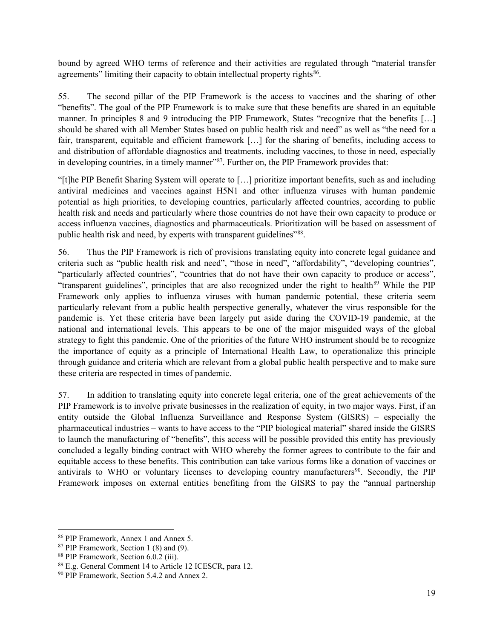bound by agreed WHO terms of reference and their activities are regulated through "material transfer agreements" limiting their capacity to obtain intellectual property rights<sup>[86](#page-18-0)</sup>.

55. The second pillar of the PIP Framework is the access to vaccines and the sharing of other "benefits". The goal of the PIP Framework is to make sure that these benefits are shared in an equitable manner. In principles 8 and 9 introducing the PIP Framework, States "recognize that the benefits […] should be shared with all Member States based on public health risk and need" as well as "the need for a fair, transparent, equitable and efficient framework […] for the sharing of benefits, including access to and distribution of affordable diagnostics and treatments, including vaccines, to those in need, especially in developing countries, in a timely manner"<sup>[87](#page-18-1)</sup>. Further on, the PIP Framework provides that:

"[t]he PIP Benefit Sharing System will operate to […] prioritize important benefits, such as and including antiviral medicines and vaccines against H5N1 and other influenza viruses with human pandemic potential as high priorities, to developing countries, particularly affected countries, according to public health risk and needs and particularly where those countries do not have their own capacity to produce or access influenza vaccines, diagnostics and pharmaceuticals. Prioritization will be based on assessment of public health risk and need, by experts with transparent guidelines"<sup>88</sup>.

56. Thus the PIP Framework is rich of provisions translating equity into concrete legal guidance and criteria such as "public health risk and need", "those in need", "affordability", "developing countries", "particularly affected countries", "countries that do not have their own capacity to produce or access", "transparent guidelines", principles that are also recognized under the right to health<sup>[89](#page-18-3)</sup> While the PIP Framework only applies to influenza viruses with human pandemic potential, these criteria seem particularly relevant from a public health perspective generally, whatever the virus responsible for the pandemic is. Yet these criteria have been largely put aside during the COVID-19 pandemic, at the national and international levels. This appears to be one of the major misguided ways of the global strategy to fight this pandemic. One of the priorities of the future WHO instrument should be to recognize the importance of equity as a principle of International Health Law, to operationalize this principle through guidance and criteria which are relevant from a global public health perspective and to make sure these criteria are respected in times of pandemic.

57. In addition to translating equity into concrete legal criteria, one of the great achievements of the PIP Framework is to involve private businesses in the realization of equity, in two major ways. First, if an entity outside the Global Influenza Surveillance and Response System (GISRS) – especially the pharmaceutical industries – wants to have access to the "PIP biological material" shared inside the GISRS to launch the manufacturing of "benefits", this access will be possible provided this entity has previously concluded a legally binding contract with WHO whereby the former agrees to contribute to the fair and equitable access to these benefits. This contribution can take various forms like a donation of vaccines or antivirals to WHO or voluntary licenses to developing country manufacturers<sup>[90](#page-18-4)</sup>. Secondly, the PIP Framework imposes on external entities benefiting from the GISRS to pay the "annual partnership

<span id="page-18-1"></span><span id="page-18-0"></span><sup>86</sup> PIP Framework, Annex 1 and Annex 5.

<sup>87</sup> PIP Framework, Section 1 (8) and (9).

<span id="page-18-2"></span><sup>88</sup> PIP Framework, Section 6.0.2 (iii).

<span id="page-18-3"></span><sup>89</sup> E.g. General Comment 14 to Article 12 ICESCR, para 12.

<span id="page-18-4"></span><sup>90</sup> PIP Framework, Section 5.4.2 and Annex 2.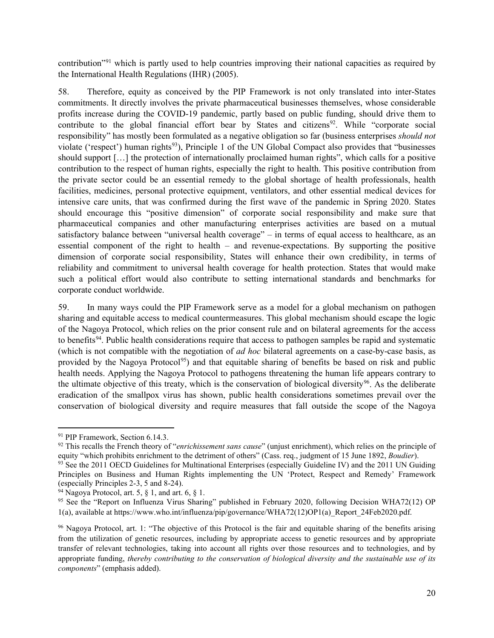contribution<sup>"[91](#page-19-0)</sup> which is partly used to help countries improving their national capacities as required by the International Health Regulations (IHR) (2005).

58. Therefore, equity as conceived by the PIP Framework is not only translated into inter-States commitments. It directly involves the private pharmaceutical businesses themselves, whose considerable profits increase during the COVID-19 pandemic, partly based on public funding, should drive them to contribute to the global financial effort bear by States and citizens<sup>[92](#page-19-1)</sup>. While "corporate social responsibility" has mostly been formulated as a negative obligation so far (business enterprises *should not* violate ('respect') human rights<sup>[93](#page-19-2)</sup>), Principle 1 of the UN Global Compact also provides that "businesses" should support […] the protection of internationally proclaimed human rights", which calls for a positive contribution to the respect of human rights, especially the right to health. This positive contribution from the private sector could be an essential remedy to the global shortage of health professionals, health facilities, medicines, personal protective equipment, ventilators, and other essential medical devices for intensive care units, that was confirmed during the first wave of the pandemic in Spring 2020. States should encourage this "positive dimension" of corporate social responsibility and make sure that pharmaceutical companies and other manufacturing enterprises activities are based on a mutual satisfactory balance between "universal health coverage" – in terms of equal access to healthcare, as an essential component of the right to health – and revenue-expectations. By supporting the positive dimension of corporate social responsibility, States will enhance their own credibility, in terms of reliability and commitment to universal health coverage for health protection. States that would make such a political effort would also contribute to setting international standards and benchmarks for corporate conduct worldwide.

59. In many ways could the PIP Framework serve as a model for a global mechanism on pathogen sharing and equitable access to medical countermeasures. This global mechanism should escape the logic of the Nagoya Protocol, which relies on the prior consent rule and on bilateral agreements for the access to benefits<sup>94</sup>. Public health considerations require that access to pathogen samples be rapid and systematic (which is not compatible with the negotiation of *ad hoc* bilateral agreements on a case-by-case basis, as provided by the Nagoya Protocol<sup>[95](#page-19-4)</sup>) and that equitable sharing of benefits be based on risk and public health needs. Applying the Nagoya Protocol to pathogens threatening the human life appears contrary to the ultimate objective of this treaty, which is the conservation of biological diversity<sup>[96](#page-19-5)</sup>. As the deliberate eradication of the smallpox virus has shown, public health considerations sometimes prevail over the conservation of biological diversity and require measures that fall outside the scope of the Nagoya

<span id="page-19-0"></span><sup>&</sup>lt;sup>91</sup> PIP Framework, Section 6.14.3.

<span id="page-19-1"></span><sup>92</sup> This recalls the French theory of "*enrichissement sans cause*" (unjust enrichment), which relies on the principle of equity "which prohibits enrichment to the detriment of others" (Cass. req., judgment of 15 June 1892, *Boudier*).

<span id="page-19-2"></span> $93$  See the 2011 OECD Guidelines for Multinational Enterprises (especially Guideline IV) and the 2011 UN Guiding Principles on Business and Human Rights implementing the UN 'Protect, Respect and Remedy' Framework (especially Principles 2-3, 5 and 8-24).

<span id="page-19-3"></span> $94$  Nagoya Protocol, art. 5, § 1, and art. 6, § 1.

<span id="page-19-4"></span><sup>&</sup>lt;sup>95</sup> See the "Report on Influenza Virus Sharing" published in February 2020, following Decision WHA72(12) OP 1(a), available at https://www.who.int/influenza/pip/governance/WHA72(12)OP1(a)\_Report\_24Feb2020.pdf.

<span id="page-19-5"></span><sup>96</sup> Nagoya Protocol, art. 1: "The objective of this Protocol is the fair and equitable sharing of the benefits arising from the utilization of genetic resources, including by appropriate access to genetic resources and by appropriate transfer of relevant technologies, taking into account all rights over those resources and to technologies, and by appropriate funding, *thereby contributing to the conservation of biological diversity and the sustainable use of its components*" (emphasis added).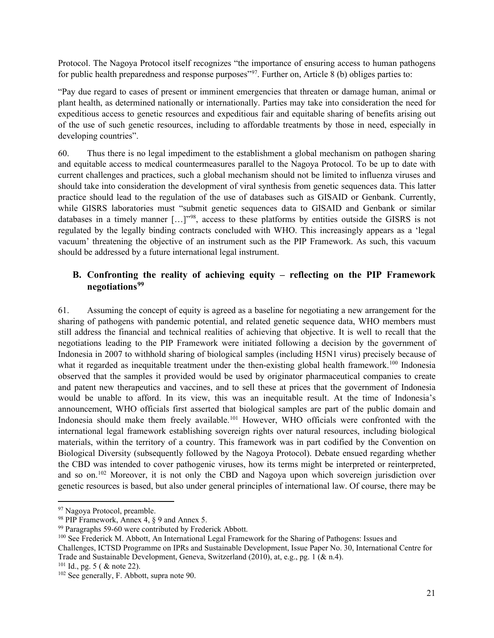Protocol. The Nagoya Protocol itself recognizes "the importance of ensuring access to human pathogens for public health preparedness and response purposes"<sup>97</sup>. Further on, Article 8 (b) obliges parties to:

"Pay due regard to cases of present or imminent emergencies that threaten or damage human, animal or plant health, as determined nationally or internationally. Parties may take into consideration the need for expeditious access to genetic resources and expeditious fair and equitable sharing of benefits arising out of the use of such genetic resources, including to affordable treatments by those in need, especially in developing countries".

60. Thus there is no legal impediment to the establishment a global mechanism on pathogen sharing and equitable access to medical countermeasures parallel to the Nagoya Protocol. To be up to date with current challenges and practices, such a global mechanism should not be limited to influenza viruses and should take into consideration the development of viral synthesis from genetic sequences data. This latter practice should lead to the regulation of the use of databases such as GISAID or Genbank. Currently, while GISRS laboratories must "submit genetic sequences data to GISAID and Genbank or similar databases in a timely manner […]"[98](#page-20-1), access to these platforms by entities outside the GISRS is not regulated by the legally binding contracts concluded with WHO. This increasingly appears as a 'legal vacuum' threatening the objective of an instrument such as the PIP Framework. As such, this vacuum should be addressed by a future international legal instrument.

#### **B. Confronting the reality of achieving equity – reflecting on the PIP Framework negotiations[99](#page-20-2)**

61. Assuming the concept of equity is agreed as a baseline for negotiating a new arrangement for the sharing of pathogens with pandemic potential, and related genetic sequence data, WHO members must still address the financial and technical realities of achieving that objective. It is well to recall that the negotiations leading to the PIP Framework were initiated following a decision by the government of Indonesia in 2007 to withhold sharing of biological samples (including H5N1 virus) precisely because of what it regarded as inequitable treatment under the then-existing global health framework.<sup>[100](#page-20-3)</sup> Indonesia observed that the samples it provided would be used by originator pharmaceutical companies to create and patent new therapeutics and vaccines, and to sell these at prices that the government of Indonesia would be unable to afford. In its view, this was an inequitable result. At the time of Indonesia's announcement, WHO officials first asserted that biological samples are part of the public domain and Indonesia should make them freely available.<sup>[101](#page-20-4)</sup> However, WHO officials were confronted with the international legal framework establishing sovereign rights over natural resources, including biological materials, within the territory of a country. This framework was in part codified by the Convention on Biological Diversity (subsequently followed by the Nagoya Protocol). Debate ensued regarding whether the CBD was intended to cover pathogenic viruses, how its terms might be interpreted or reinterpreted, and so on.[102](#page-20-5) Moreover, it is not only the CBD and Nagoya upon which sovereign jurisdiction over genetic resources is based, but also under general principles of international law. Of course, there may be

<span id="page-20-0"></span><sup>&</sup>lt;sup>97</sup> Nagoya Protocol, preamble.

<span id="page-20-1"></span><sup>98</sup> PIP Framework, Annex 4, § 9 and Annex 5.

<span id="page-20-2"></span><sup>99</sup> Paragraphs 59-60 were contributed by Frederick Abbott.

<span id="page-20-3"></span><sup>100</sup> See Frederick M. Abbott, An International Legal Framework for the Sharing of Pathogens: Issues and

Challenges, ICTSD Programme on IPRs and Sustainable Development, Issue Paper No. 30, International Centre for Trade and Sustainable Development, Geneva, Switzerland (2010), at, e.g., pg. 1 (& n.4).

<span id="page-20-4"></span> $101$  Id., pg. 5 ( & note 22).

<span id="page-20-5"></span><sup>&</sup>lt;sup>102</sup> See generally, F. Abbott, supra note 90.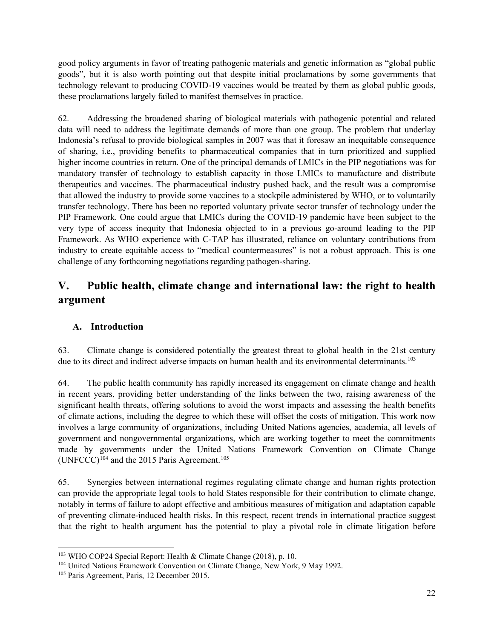good policy arguments in favor of treating pathogenic materials and genetic information as "global public goods", but it is also worth pointing out that despite initial proclamations by some governments that technology relevant to producing COVID-19 vaccines would be treated by them as global public goods, these proclamations largely failed to manifest themselves in practice.

62. Addressing the broadened sharing of biological materials with pathogenic potential and related data will need to address the legitimate demands of more than one group. The problem that underlay Indonesia's refusal to provide biological samples in 2007 was that it foresaw an inequitable consequence of sharing, i.e., providing benefits to pharmaceutical companies that in turn prioritized and supplied higher income countries in return. One of the principal demands of LMICs in the PIP negotiations was for mandatory transfer of technology to establish capacity in those LMICs to manufacture and distribute therapeutics and vaccines. The pharmaceutical industry pushed back, and the result was a compromise that allowed the industry to provide some vaccines to a stockpile administered by WHO, or to voluntarily transfer technology. There has been no reported voluntary private sector transfer of technology under the PIP Framework. One could argue that LMICs during the COVID-19 pandemic have been subject to the very type of access inequity that Indonesia objected to in a previous go-around leading to the PIP Framework. As WHO experience with C-TAP has illustrated, reliance on voluntary contributions from industry to create equitable access to "medical countermeasures" is not a robust approach. This is one challenge of any forthcoming negotiations regarding pathogen-sharing.

# **V. Public health, climate change and international law: the right to health argument**

#### **A. Introduction**

63. Climate change is considered potentially the greatest threat to global health in the 21st century due to its direct and indirect adverse impacts on human health and its environmental determinants.<sup>[103](#page-21-0)</sup>

64. The public health community has rapidly increased its engagement on climate change and health in recent years, providing better understanding of the links between the two, raising awareness of the significant health threats, offering solutions to avoid the worst impacts and assessing the health benefits of climate actions, including the degree to which these will offset the costs of mitigation. This work now involves a large community of organizations, including United Nations agencies, academia, all levels of government and nongovernmental organizations, which are working together to meet the commitments made by governments under the United Nations Framework Convention on Climate Change (UNFCCC)<sup>[104](#page-21-1)</sup> and the 2015 Paris Agreement.<sup>[105](#page-21-2)</sup>

65. Synergies between international regimes regulating climate change and human rights protection can provide the appropriate legal tools to hold States responsible for their contribution to climate change, notably in terms of failure to adopt effective and ambitious measures of mitigation and adaptation capable of preventing climate-induced health risks. In this respect, recent trends in international practice suggest that the right to health argument has the potential to play a pivotal role in climate litigation before

<span id="page-21-0"></span><sup>103</sup> WHO COP24 Special Report: Health & Climate Change (2018), p. 10.

<span id="page-21-1"></span><sup>&</sup>lt;sup>104</sup> United Nations Framework Convention on Climate Change, New York, 9 May 1992.<br><sup>105</sup> Paris Agreement, Paris, 12 December 2015.

<span id="page-21-2"></span>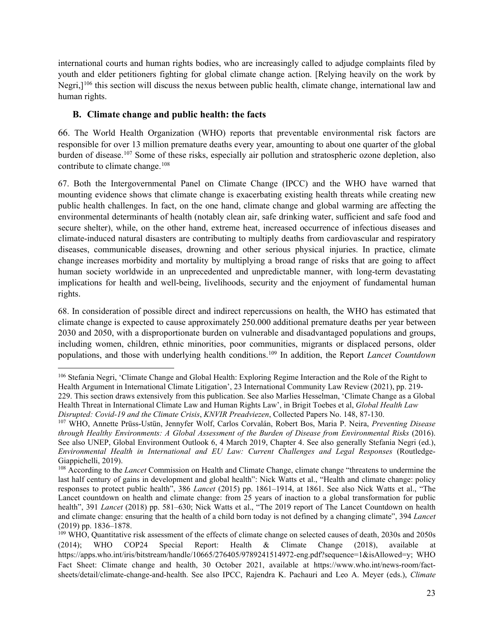international courts and human rights bodies, who are increasingly called to adjudge complaints filed by youth and elder petitioners fighting for global climate change action. [Relying heavily on the work by Negri,]<sup>[106](#page-22-0)</sup> this section will discuss the nexus between public health, climate change, international law and human rights.

#### **B. Climate change and public health: the facts**

66. The World Health Organization (WHO) reports that preventable environmental risk factors are responsible for over 13 million premature deaths every year, amounting to about one quarter of the global burden of disease[.107](#page-22-1) Some of these risks, especially air pollution and stratospheric ozone depletion, also contribute to climate change.<sup>[108](#page-22-2)</sup>

67. Both the Intergovernmental Panel on Climate Change (IPCC) and the WHO have warned that mounting evidence shows that climate change is exacerbating existing health threats while creating new public health challenges. In fact, on the one hand, climate change and global warming are affecting the environmental determinants of health (notably clean air, safe drinking water, sufficient and safe food and secure shelter), while, on the other hand, extreme heat, increased occurrence of infectious diseases and climate-induced natural disasters are contributing to multiply deaths from cardiovascular and respiratory diseases, communicable diseases, drowning and other serious physical injuries. In practice, climate change increases morbidity and mortality by multiplying a broad range of risks that are going to affect human society worldwide in an unprecedented and unpredictable manner, with long-term devastating implications for health and well-being, livelihoods, security and the enjoyment of fundamental human rights.

68. In consideration of possible direct and indirect repercussions on health, the WHO has estimated that climate change is expected to cause approximately 250.000 additional premature deaths per year between 2030 and 2050, with a disproportionate burden on vulnerable and disadvantaged populations and groups, including women, children, ethnic minorities, poor communities, migrants or displaced persons, older populations, and those with underlying health conditions.[109](#page-22-3) In addition, the Report *Lancet Countdown*

<span id="page-22-0"></span><sup>106</sup> Stefania Negri, 'Climate Change and Global Health: Exploring Regime Interaction and the Role of the Right to Health Argument in International Climate Litigation', 23 International Community Law Review (2021), pp. 219- 229. This section draws extensively from this publication. See also Marlies Hesselman, 'Climate Change as a Global Health Threat in International Climate Law and Human Rights Law', in Brigit Toebes et al, *Global Health Law Disrupted: Covid-19 and the Climate Crisis*, *KNVIR Preadviezen*, Collected Papers No. 148, 87-130.

<span id="page-22-1"></span><sup>107</sup> WHO, Annette Prüss-Ustün, Jennyfer Wolf, Carlos Corvalán, Robert Bos, Maria P. Neira, *Preventing Disease through Healthy Environments: A Global Assessment of the Burden of Disease from Environmental Risks* (2016). See also UNEP, Global Environment Outlook 6, 4 March 2019, Chapter 4. See also generally Stefania Negri (ed.), *Environmental Health in International and EU Law: Current Challenges and Legal Responses* (Routledge-Giappichelli, 2019).

<span id="page-22-2"></span><sup>108</sup> According to the *Lancet* Commission on Health and Climate Change, climate change "threatens to undermine the last half century of gains in development and global health": Nick Watts et al., "Health and climate change: policy responses to protect public health", 386 *Lancet* (2015) pp. 1861–1914, at 1861. See also Nick Watts et al., "The Lancet countdown on health and climate change: from 25 years of inaction to a global transformation for public health", 391 *Lancet* (2018) pp. 581–630; Nick Watts et al., "The 2019 report of The Lancet Countdown on health and climate change: ensuring that the health of a child born today is not defined by a changing climate", 394 *Lancet*

<span id="page-22-3"></span><sup>(2019)</sup> pp. 1836–1878.<br><sup>109</sup> WHO, Quantitative risk assessment of the effects of climate change on selected causes of death, 2030s and 2050s (2014); WHO COP24 Special Report: Health & Climate Change (2018), available at https://apps.who.int/iris/bitstream/handle/10665/276405/9789241514972-eng.pdf?sequence=1&isAllowed=y; WHO Fact Sheet: Climate change and health, 30 October 2021, available at https://www.who.int/news-room/factsheets/detail/climate-change-and-health. See also IPCC, Rajendra K. Pachauri and Leo A. Meyer (eds.), *Climate*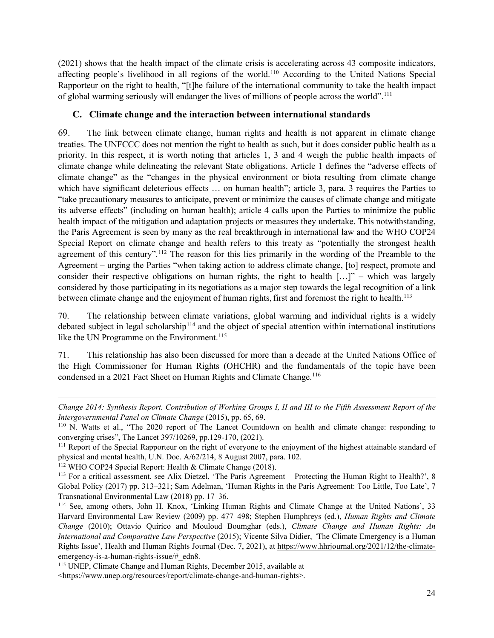(2021) shows that the health impact of the climate crisis is accelerating across 43 composite indicators, affecting people's livelihood in all regions of the world.[110](#page-23-0) According to the United Nations Special Rapporteur on the right to health, "[t]he failure of the international community to take the health impact of global warming seriously will endanger the lives of millions of people across the world".[111](#page-23-1)

#### **C. Climate change and the interaction between international standards**

69. The link between climate change, human rights and health is not apparent in climate change treaties. The UNFCCC does not mention the right to health as such, but it does consider public health as a priority. In this respect, it is worth noting that articles 1, 3 and 4 weigh the public health impacts of climate change while delineating the relevant State obligations. Article 1 defines the "adverse effects of climate change" as the "changes in the physical environment or biota resulting from climate change which have significant deleterious effects ... on human health"; article 3, para. 3 requires the Parties to "take precautionary measures to anticipate, prevent or minimize the causes of climate change and mitigate its adverse effects" (including on human health); article 4 calls upon the Parties to minimize the public health impact of the mitigation and adaptation projects or measures they undertake. This notwithstanding, the Paris Agreement is seen by many as the real breakthrough in international law and the WHO COP24 Special Report on climate change and health refers to this treaty as "potentially the strongest health agreement of this century".[112](#page-23-2) The reason for this lies primarily in the wording of the Preamble to the Agreement – urging the Parties "when taking action to address climate change, [to] respect, promote and consider their respective obligations on human rights, the right to health [...]" – which was largely considered by those participating in its negotiations as a major step towards the legal recognition of a link between climate change and the enjoyment of human rights, first and foremost the right to health.<sup>[113](#page-23-3)</sup>

70. The relationship between climate variations, global warming and individual rights is a widely debated subject in legal scholarship<sup>[114](#page-23-4)</sup> and the object of special attention within international institutions like the UN Programme on the Environment.<sup>[115](#page-23-5)</sup>

71. This relationship has also been discussed for more than a decade at the United Nations Office of the High Commissioner for Human Rights (OHCHR) and the fundamentals of the topic have been condensed in a 2021 Fact Sheet on Human Rights and Climate Change.<sup>[116](#page-23-6)</sup>

*Change 2014: Synthesis Report. Contribution of Working Groups I, II and III to the Fifth Assessment Report of the Intergovernmental Panel on Climate Change* (2015), pp. 65, 69.<br><sup>110</sup> N. Watts et al., "The 2020 report of The Lancet Countdown on health and climate change: responding to

<span id="page-23-0"></span>converging crises", The Lancet 397/10269, pp.129-170, (2021).

<span id="page-23-1"></span><sup>&</sup>lt;sup>111</sup> Report of the Special Rapporteur on the right of everyone to the enjoyment of the highest attainable standard of physical and mental health, U.N. Doc. A/62/214, 8 August 2007, para. 102.

<span id="page-23-2"></span><sup>112</sup> WHO COP24 Special Report: Health & Climate Change (2018).

<span id="page-23-6"></span><span id="page-23-3"></span><sup>113</sup> For a critical assessment, see Alix Dietzel, 'The Paris Agreement – Protecting the Human Right to Health?', 8 Global Policy (2017) pp. 313–321; Sam Adelman, 'Human Rights in the Paris Agreement: Too Little, Too Late', 7 Transnational Environmental Law (2018) pp. 17–36.

<span id="page-23-4"></span><sup>114</sup> See, among others, John H. Knox, 'Linking Human Rights and Climate Change at the United Nations', 33 Harvard Environmental Law Review (2009) pp. 477–498; Stephen Humphreys (ed.), *Human Rights and Climate Change* (2010); Ottavio Quirico and Mouloud Boumghar (eds.), *Climate Change and Human Rights: An International and Comparative Law Perspective* (2015); Vicente Silva Didier, *'*The Climate Emergency is a Human Rights Issue', Health and Human Rights Journal (Dec. 7, 2021), at [https://www.hhrjournal.org/2021/12/the-climate](https://www.hhrjournal.org/2021/12/the-climate-emergency-is-a-human-rights-issue/#_edn8)[emergency-is-a-human-rights-issue/#\\_edn8.](https://www.hhrjournal.org/2021/12/the-climate-emergency-is-a-human-rights-issue/#_edn8)

<span id="page-23-5"></span><sup>115</sup> UNEP, Climate Change and Human Rights, December 2015, available at <https://www.unep.org/resources/report/climate-change-and-human-rights>.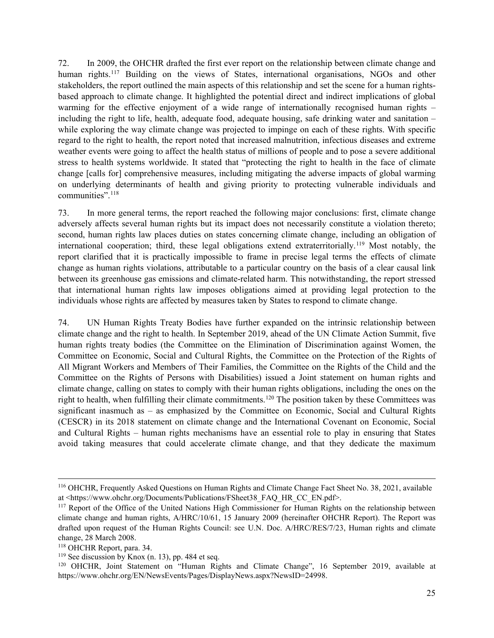72. In 2009, the OHCHR drafted the first ever report on the relationship between climate change and human rights.<sup>[117](#page-24-0)</sup> Building on the views of States, international organisations, NGOs and other stakeholders, the report outlined the main aspects of this relationship and set the scene for a human rightsbased approach to climate change. It highlighted the potential direct and indirect implications of global warming for the effective enjoyment of a wide range of internationally recognised human rights – including the right to life, health, adequate food, adequate housing, safe drinking water and sanitation – while exploring the way climate change was projected to impinge on each of these rights. With specific regard to the right to health, the report noted that increased malnutrition, infectious diseases and extreme weather events were going to affect the health status of millions of people and to pose a severe additional stress to health systems worldwide. It stated that "protecting the right to health in the face of climate change [calls for] comprehensive measures, including mitigating the adverse impacts of global warming on underlying determinants of health and giving priority to protecting vulnerable individuals and communities".<sup>[118](#page-24-1)</sup>

73. In more general terms, the report reached the following major conclusions: first, climate change adversely affects several human rights but its impact does not necessarily constitute a violation thereto; second, human rights law places duties on states concerning climate change, including an obligation of international cooperation; third, these legal obligations extend extraterritorially.<sup>[119](#page-24-2)</sup> Most notably, the report clarified that it is practically impossible to frame in precise legal terms the effects of climate change as human rights violations, attributable to a particular country on the basis of a clear causal link between its greenhouse gas emissions and climate-related harm. This notwithstanding, the report stressed that international human rights law imposes obligations aimed at providing legal protection to the individuals whose rights are affected by measures taken by States to respond to climate change.

74. UN Human Rights Treaty Bodies have further expanded on the intrinsic relationship between climate change and the right to health. In September 2019, ahead of the UN Climate Action Summit, five human rights treaty bodies (the Committee on the Elimination of Discrimination against Women, the Committee on Economic, Social and Cultural Rights, the Committee on the Protection of the Rights of All Migrant Workers and Members of Their Families, the Committee on the Rights of the Child and the Committee on the Rights of Persons with Disabilities) issued a Joint statement on human rights and climate change, calling on states to comply with their human rights obligations, including the ones on the right to health, when fulfilling their climate commitments.<sup>120</sup> The position taken by these Committees was significant inasmuch as – as emphasized by the Committee on Economic, Social and Cultural Rights (CESCR) in its 2018 statement on climate change and the International Covenant on Economic, Social and Cultural Rights – human rights mechanisms have an essential role to play in ensuring that States avoid taking measures that could accelerate climate change, and that they dedicate the maximum

<sup>116</sup> OHCHR, Frequently Asked Questions on Human Rights and Climate Change Fact Sheet No. 38, 2021, available at <https://www.ohchr.org/Documents/Publications/FSheet38\_FAQ\_HR\_CC\_EN.pdf>.

<span id="page-24-0"></span><sup>&</sup>lt;sup>117</sup> Report of the Office of the United Nations High Commissioner for Human Rights on the relationship between climate change and human rights, A/HRC/10/61, 15 January 2009 (hereinafter OHCHR Report). The Report was drafted upon request of the Human Rights Council: see U.N. Doc. A/HRC/RES/7/23, Human rights and climate change, 28 March 2008.

<span id="page-24-1"></span><sup>118</sup> OHCHR Report, para. 34.

<span id="page-24-2"></span> $119$  See discussion by Knox (n. 13), pp. 484 et seq.

<span id="page-24-3"></span><sup>120</sup> OHCHR, Joint Statement on "Human Rights and Climate Change", 16 September 2019, available at https://www.ohchr.org/EN/NewsEvents/Pages/DisplayNews.aspx?NewsID=24998.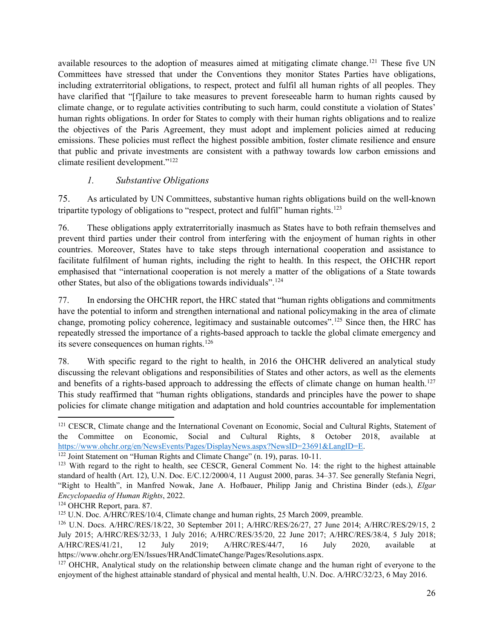available resources to the adoption of measures aimed at mitigating climate change.<sup>121</sup> These five UN Committees have stressed that under the Conventions they monitor States Parties have obligations, including extraterritorial obligations, to respect, protect and fulfil all human rights of all peoples. They have clarified that "[f]ailure to take measures to prevent foreseeable harm to human rights caused by climate change, or to regulate activities contributing to such harm, could constitute a violation of States' human rights obligations. In order for States to comply with their human rights obligations and to realize the objectives of the Paris Agreement, they must adopt and implement policies aimed at reducing emissions. These policies must reflect the highest possible ambition, foster climate resilience and ensure that public and private investments are consistent with a pathway towards low carbon emissions and climate resilient development."[122](#page-25-1)

#### *1. Substantive Obligations*

75. As articulated by UN Committees, substantive human rights obligations build on the well-known tripartite typology of obligations to "respect, protect and fulfil" human rights.<sup>123</sup>

76. These obligations apply extraterritorially inasmuch as States have to both refrain themselves and prevent third parties under their control from interfering with the enjoyment of human rights in other countries. Moreover, States have to take steps through international cooperation and assistance to facilitate fulfilment of human rights, including the right to health. In this respect, the OHCHR report emphasised that "international cooperation is not merely a matter of the obligations of a State towards other States, but also of the obligations towards individuals".[124](#page-25-3)

77. In endorsing the OHCHR report, the HRC stated that "human rights obligations and commitments have the potential to inform and strengthen international and national policymaking in the area of climate change, promoting policy coherence, legitimacy and sustainable outcomes".[125](#page-25-4) Since then, the HRC has repeatedly stressed the importance of a rights-based approach to tackle the global climate emergency and its severe consequences on human rights.<sup>[126](#page-25-5)</sup>

78. With specific regard to the right to health, in 2016 the OHCHR delivered an analytical study discussing the relevant obligations and responsibilities of States and other actors, as well as the elements and benefits of a rights-based approach to addressing the effects of climate change on human health.<sup>[127](#page-25-6)</sup> This study reaffirmed that "human rights obligations, standards and principles have the power to shape policies for climate change mitigation and adaptation and hold countries accountable for implementation

<span id="page-25-0"></span><sup>&</sup>lt;sup>121</sup> CESCR, Climate change and the International Covenant on Economic, Social and Cultural Rights, Statement of the Committee on Economic, Social and Cultural Rights, 8 October 2018, available at [https://www.ohchr.org/en/NewsEvents/Pages/DisplayNews.aspx?NewsID=23691&LangID=E.](https://www.ohchr.org/en/NewsEvents/Pages/DisplayNews.aspx?NewsID=23691&LangID=E) 122 Joint Statement on "Human Rights and Climate Change" (n. 19), paras. 10-11.

<span id="page-25-1"></span>

<span id="page-25-2"></span><sup>&</sup>lt;sup>123</sup> With regard to the right to health, see CESCR, General Comment No. 14: the right to the highest attainable standard of health (Art. 12), U.N. Doc. E/C.12/2000/4, 11 August 2000, paras. 34–37. See generally Stefania Negri, "Right to Health", in Manfred Nowak, Jane A. Hofbauer, Philipp Janig and Christina Binder (eds.), *Elgar Encyclopaedia of Human Rights*, 2022.

<span id="page-25-3"></span><sup>&</sup>lt;sup>124</sup> OHCHR Report, para. 87.<br><sup>125</sup> U.N. Doc. A/HRC/RES/10/4, Climate change and human rights, 25 March 2009, preamble.

<span id="page-25-5"></span><span id="page-25-4"></span><sup>&</sup>lt;sup>126</sup> U.N. Docs. A/HRC/RES/18/22, 30 September 2011; A/HRC/RES/26/27, 27 June 2014; A/HRC/RES/29/15, 2 July 2015; A/HRC/RES/32/33, 1 July 2016; A/HRC/RES/35/20, 22 June 2017; A/HRC/RES/38/4, 5 July 2018; A/HRC/RES/41/21, 12 July 2019; A/HRC/RES/44/7, 16 July 2020, available at https://www.ohchr.org/EN/Issues/HRAndClimateChange/Pages/Resolutions.aspx.

<span id="page-25-6"></span><sup>&</sup>lt;sup>127</sup> OHCHR, Analytical study on the relationship between climate change and the human right of everyone to the enjoyment of the highest attainable standard of physical and mental health, U.N. Doc. A/HRC/32/23, 6 May 2016.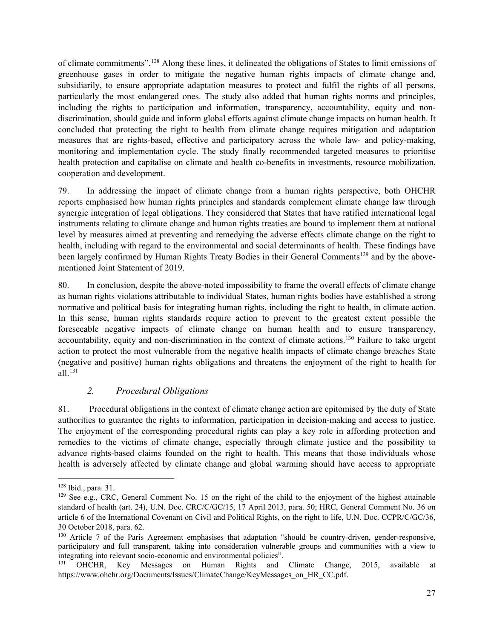of climate commitments".[128](#page-26-0) Along these lines, it delineated the obligations of States to limit emissions of greenhouse gases in order to mitigate the negative human rights impacts of climate change and, subsidiarily, to ensure appropriate adaptation measures to protect and fulfil the rights of all persons, particularly the most endangered ones. The study also added that human rights norms and principles, including the rights to participation and information, transparency, accountability, equity and nondiscrimination, should guide and inform global efforts against climate change impacts on human health. It concluded that protecting the right to health from climate change requires mitigation and adaptation measures that are rights-based, effective and participatory across the whole law- and policy-making, monitoring and implementation cycle. The study finally recommended targeted measures to prioritise health protection and capitalise on climate and health co-benefits in investments, resource mobilization, cooperation and development.

79. In addressing the impact of climate change from a human rights perspective, both OHCHR reports emphasised how human rights principles and standards complement climate change law through synergic integration of legal obligations. They considered that States that have ratified international legal instruments relating to climate change and human rights treaties are bound to implement them at national level by measures aimed at preventing and remedying the adverse effects climate change on the right to health, including with regard to the environmental and social determinants of health. These findings have been largely confirmed by Human Rights Treaty Bodies in their General Comments<sup>[129](#page-26-1)</sup> and by the abovementioned Joint Statement of 2019.

80. In conclusion, despite the above-noted impossibility to frame the overall effects of climate change as human rights violations attributable to individual States, human rights bodies have established a strong normative and political basis for integrating human rights, including the right to health, in climate action. In this sense, human rights standards require action to prevent to the greatest extent possible the foreseeable negative impacts of climate change on human health and to ensure transparency, accountability, equity and non-discrimination in the context of climate actions.<sup>130</sup> Failure to take urgent action to protect the most vulnerable from the negative health impacts of climate change breaches State (negative and positive) human rights obligations and threatens the enjoyment of the right to health for all.[131](#page-26-3)

#### *2. Procedural Obligations*

81. Procedural obligations in the context of climate change action are epitomised by the duty of State authorities to guarantee the rights to information, participation in decision-making and access to justice. The enjoyment of the corresponding procedural rights can play a key role in affording protection and remedies to the victims of climate change, especially through climate justice and the possibility to advance rights-based claims founded on the right to health. This means that those individuals whose health is adversely affected by climate change and global warming should have access to appropriate

<span id="page-26-0"></span><sup>128</sup> Ibid., para. 31.

<span id="page-26-1"></span><sup>&</sup>lt;sup>129</sup> See e.g., CRC, General Comment No. 15 on the right of the child to the enjoyment of the highest attainable standard of health (art. 24), U.N. Doc. CRC/C/GC/15, 17 April 2013, para. 50; HRC, General Comment No. 36 on article 6 of the International Covenant on Civil and Political Rights, on the right to life, U.N. Doc. CCPR/C/GC/36, 30 October 2018, para. 62.

<span id="page-26-2"></span><sup>&</sup>lt;sup>130</sup> Article 7 of the Paris Agreement emphasises that adaptation "should be country-driven, gender-responsive, participatory and full transparent, taking into consideration vulnerable groups and communities with a view to integrating into relevant socio-economic and environmental policies".<br><sup>131</sup> OHCHR Key Messages on Human Rights and

<span id="page-26-3"></span><sup>131</sup> OHCHR, Key Messages on Human Rights and Climate Change, 2015, available at https://www.ohchr.org/Documents/Issues/ClimateChange/KeyMessages\_on\_HR\_CC.pdf.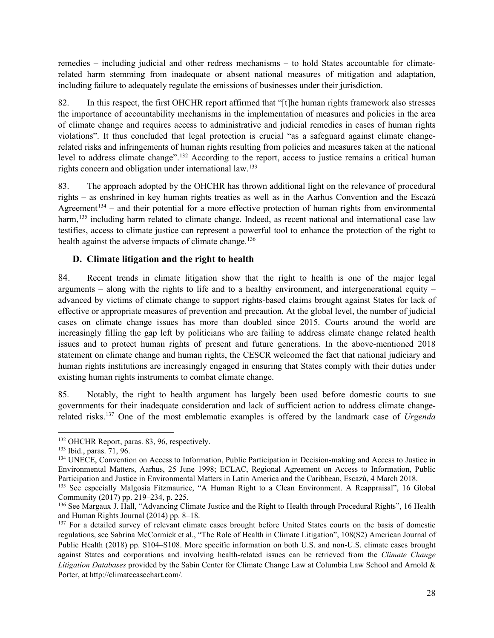remedies – including judicial and other redress mechanisms – to hold States accountable for climaterelated harm stemming from inadequate or absent national measures of mitigation and adaptation, including failure to adequately regulate the emissions of businesses under their jurisdiction.

82. In this respect, the first OHCHR report affirmed that "[t]he human rights framework also stresses the importance of accountability mechanisms in the implementation of measures and policies in the area of climate change and requires access to administrative and judicial remedies in cases of human rights violations". It thus concluded that legal protection is crucial "as a safeguard against climate changerelated risks and infringements of human rights resulting from policies and measures taken at the national level to address climate change".<sup>[132](#page-27-0)</sup> According to the report, access to justice remains a critical human rights concern and obligation under international law.[133](#page-27-1)

83. The approach adopted by the OHCHR has thrown additional light on the relevance of procedural rights – as enshrined in key human rights treaties as well as in the Aarhus Convention and the Escazú Agreement<sup>[134](#page-27-2)</sup> – and their potential for a more effective protection of human rights from environmental harm,<sup>[135](#page-27-3)</sup> including harm related to climate change. Indeed, as recent national and international case law testifies, access to climate justice can represent a powerful tool to enhance the protection of the right to health against the adverse impacts of climate change.<sup>136</sup>

#### **D. Climate litigation and the right to health**

84. Recent trends in climate litigation show that the right to health is one of the major legal arguments – along with the rights to life and to a healthy environment, and intergenerational equity – advanced by victims of climate change to support rights-based claims brought against States for lack of effective or appropriate measures of prevention and precaution. At the global level, the number of judicial cases on climate change issues has more than doubled since 2015. Courts around the world are increasingly filling the gap left by politicians who are failing to address climate change related health issues and to protect human rights of present and future generations. In the above-mentioned 2018 statement on climate change and human rights, the CESCR welcomed the fact that national judiciary and human rights institutions are increasingly engaged in ensuring that States comply with their duties under existing human rights instruments to combat climate change.

85. Notably, the right to health argument has largely been used before domestic courts to sue governments for their inadequate consideration and lack of sufficient action to address climate changerelated risks.[137](#page-27-5) One of the most emblematic examples is offered by the landmark case of *Urgenda* 

<span id="page-27-0"></span><sup>132</sup> OHCHR Report, paras. 83, 96, respectively.

<span id="page-27-1"></span><sup>133</sup> Ibid., paras. 71, 96.

<span id="page-27-2"></span><sup>134</sup> UNECE, Convention on Access to Information, Public Participation in Decision-making and Access to Justice in Environmental Matters, Aarhus, 25 June 1998; ECLAC, Regional Agreement on Access to Information, Public Participation and Justice in Environmental Matters in Latin America and the Caribbean, Escazú, 4 March 2018.

<span id="page-27-3"></span><sup>&</sup>lt;sup>135</sup> See especially Malgosia Fitzmaurice, "A Human Right to a Clean Environment. A Reappraisal", 16 Global Community (2017) pp. 219–234, p. 225.

<span id="page-27-4"></span><sup>136</sup> See Margaux J. Hall, "Advancing Climate Justice and the Right to Health through Procedural Rights", 16 Health and Human Rights Journal (2014) pp. 8–18.

<span id="page-27-5"></span><sup>&</sup>lt;sup>137</sup> For a detailed survey of relevant climate cases brought before United States courts on the basis of domestic regulations, see Sabrina McCormick et al., "The Role of Health in Climate Litigation", 108(S2) American Journal of Public Health (2018) pp. S104–S108. More specific information on both U.S. and non-U.S. climate cases brought against States and corporations and involving health-related issues can be retrieved from the *Climate Change Litigation Databases* provided by the Sabin Center for Climate Change Law at Columbia Law School and Arnold & Porter, at http://climatecasechart.com/.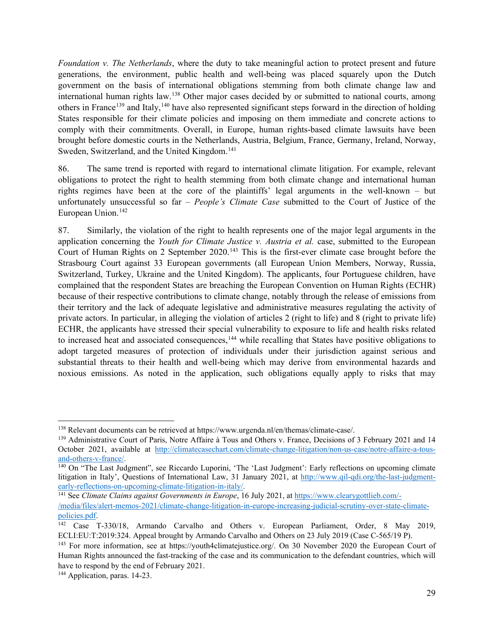*Foundation v. The Netherlands*, where the duty to take meaningful action to protect present and future generations, the environment, public health and well-being was placed squarely upon the Dutch government on the basis of international obligations stemming from both climate change law and international human rights law.[138](#page-28-0) Other major cases decided by or submitted to national courts, among others in France<sup>[139](#page-28-1)</sup> and Italy,<sup>[140](#page-28-2)</sup> have also represented significant steps forward in the direction of holding States responsible for their climate policies and imposing on them immediate and concrete actions to comply with their commitments. Overall, in Europe, human rights-based climate lawsuits have been brought before domestic courts in the Netherlands, Austria, Belgium, France, Germany, Ireland, Norway, Sweden, Switzerland, and the United Kingdom.<sup>[141](#page-28-3)</sup>

86. The same trend is reported with regard to international climate litigation. For example, relevant obligations to protect the right to health stemming from both climate change and international human rights regimes have been at the core of the plaintiffs' legal arguments in the well-known – but unfortunately unsuccessful so far – *People's Climate Case* submitted to the Court of Justice of the European Union.<sup>[142](#page-28-4)</sup>

87. Similarly, the violation of the right to health represents one of the major legal arguments in the application concerning the *Youth for Climate Justice v. Austria et al.* case, submitted to the European Court of Human Rights on 2 September 2020.<sup>[143](#page-28-5)</sup> This is the first-ever climate case brought before the Strasbourg Court against 33 European governments (all European Union Members, Norway, Russia, Switzerland, Turkey, Ukraine and the United Kingdom). The applicants, four Portuguese children, have complained that the respondent States are breaching the European Convention on Human Rights (ECHR) because of their respective contributions to climate change, notably through the release of emissions from their territory and the lack of adequate legislative and administrative measures regulating the activity of private actors. In particular, in alleging the violation of articles 2 (right to life) and 8 (right to private life) ECHR, the applicants have stressed their special vulnerability to exposure to life and health risks related to increased heat and associated consequences,<sup>[144](#page-28-6)</sup> while recalling that States have positive obligations to adopt targeted measures of protection of individuals under their jurisdiction against serious and substantial threats to their health and well-being which may derive from environmental hazards and noxious emissions. As noted in the application, such obligations equally apply to risks that may

<span id="page-28-0"></span><sup>138</sup> Relevant documents can be retrieved at https://www.urgenda.nl/en/themas/climate-case/.

<span id="page-28-1"></span><sup>&</sup>lt;sup>139</sup> Administrative Court of Paris, Notre Affaire à Tous and Others v. France, Decisions of 3 February 2021 and 14 October 2021, available at http://climatecasechart.com/climate-change-litigation/non-us-case/notre-affaire-a-tous-<br>and-others-v-france/.

<span id="page-28-2"></span> $\frac{140}{140}$  On "The Last Judgment", see Riccardo Luporini, 'The 'Last Judgment': Early reflections on upcoming climate litigation in Italy', Questions of International Law, 31 January 2021, at http://www.qil-qdi.org/the-last-judgment-<br>early-reflections-on-upcoming-climate-litigation-in-italy/.

<span id="page-28-3"></span><sup>&</sup>lt;sup>141</sup> See *Climate Claims against Governments in Europe*, 16 July 2021, at https://www.clearygottlieb.com/-/media/files/alert-memos-2021/climate-change-litigation-in-europe-increasing-judicial-scrutiny-over-state-climate-

<span id="page-28-4"></span><sup>&</sup>lt;sup>142</sup> Case T-330/18, Armando Carvalho and Others v. European Parliament, Order, 8 May 2019, ECLI:EU:T:2019:324. Appeal brought by Armando Carvalho and Others on 23 July 2019 (Case C-565/19 P).

<span id="page-28-5"></span><sup>143</sup> For more information, see at https://youth4climatejustice.org/. On 30 November 2020 the European Court of Human Rights announced the fast-tracking of the case and its communication to the defendant countries, which will have to respond by the end of February 2021.

<span id="page-28-6"></span><sup>144</sup> Application, paras. 14-23.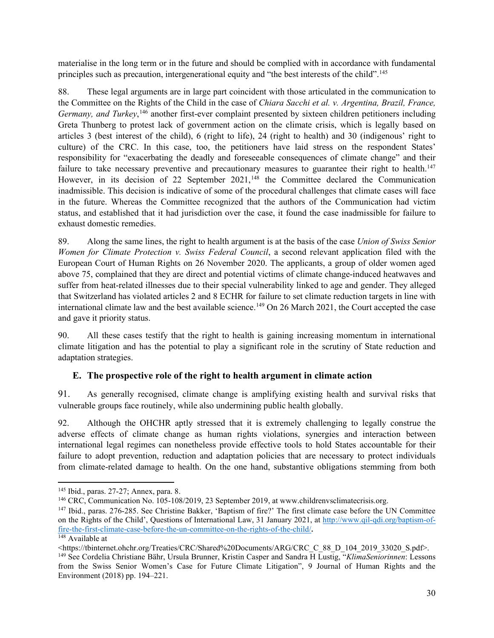materialise in the long term or in the future and should be complied with in accordance with fundamental principles such as precaution, intergenerational equity and "the best interests of the child".[145](#page-29-0)

88. These legal arguments are in large part coincident with those articulated in the communication to the Committee on the Rights of the Child in the case of *Chiara Sacchi et al. v. Argentina, Brazil, France,*  Germany, and Turkey,<sup>[146](#page-29-1)</sup> another first-ever complaint presented by sixteen children petitioners including Greta Thunberg to protest lack of government action on the climate crisis, which is legally based on articles 3 (best interest of the child), 6 (right to life), 24 (right to health) and 30 (indigenous' right to culture) of the CRC. In this case, too, the petitioners have laid stress on the respondent States' responsibility for "exacerbating the deadly and foreseeable consequences of climate change" and their failure to take necessary preventive and precautionary measures to guarantee their right to health.<sup>[147](#page-29-2)</sup> However, in its decision of 22 September 2021,<sup>[148](#page-29-3)</sup> the Committee declared the Communication inadmissible. This decision is indicative of some of the procedural challenges that climate cases will face in the future. Whereas the Committee recognized that the authors of the Communication had victim status, and established that it had jurisdiction over the case, it found the case inadmissible for failure to exhaust domestic remedies.

89. Along the same lines, the right to health argument is at the basis of the case *Union of Swiss Senior Women for Climate Protection v. Swiss Federal Council*, a second relevant application filed with the European Court of Human Rights on 26 November 2020. The applicants, a group of older women aged above 75, complained that they are direct and potential victims of climate change-induced heatwaves and suffer from heat-related illnesses due to their special vulnerability linked to age and gender. They alleged that Switzerland has violated articles 2 and 8 ECHR for failure to set climate reduction targets in line with international climate law and the best available science.<sup>149</sup> On 26 March 2021, the Court accepted the case and gave it priority status.

90. All these cases testify that the right to health is gaining increasing momentum in international climate litigation and has the potential to play a significant role in the scrutiny of State reduction and adaptation strategies.

#### **E. The prospective role of the right to health argument in climate action**

91. As generally recognised, climate change is amplifying existing health and survival risks that vulnerable groups face routinely, while also undermining public health globally.

92. Although the OHCHR aptly stressed that it is extremely challenging to legally construe the adverse effects of climate change as human rights violations, synergies and interaction between international legal regimes can nonetheless provide effective tools to hold States accountable for their failure to adopt prevention, reduction and adaptation policies that are necessary to protect individuals from climate-related damage to health. On the one hand, substantive obligations stemming from both

<span id="page-29-0"></span><sup>145</sup> Ibid., paras. 27-27; Annex, para. 8.

<span id="page-29-1"></span><sup>&</sup>lt;sup>146</sup> CRC, Communication No. 105-108/2019, 23 September 2019, at www.childrenvsclimatecrisis.org.

<span id="page-29-2"></span><sup>&</sup>lt;sup>147</sup> Ibid., paras. 276-285. See Christine Bakker, 'Baptism of fire?' The first climate case before the UN Committee on the Rights of the Child', Questions of International Law, 31 January 2021, at http://www.qil-qdi.org/baptism-offire-the-first-climate-case-before-the-un-committee-on-the-rights-of-the-child/**.** 

<span id="page-29-3"></span> $148$  Available at

<sup>&</sup>lt;https://tbinternet.ohchr.org/Treaties/CRC/Shared%20Documents/ARG/CRC\_C\_88\_D\_104\_2019\_33020\_S.pdf>.

<span id="page-29-4"></span><sup>149</sup> See Cordelia Christiane Bähr, Ursula Brunner, Kristin Casper and Sandra H Lustig, "*KlimaSeniorinnen*: Lessons from the Swiss Senior Women's Case for Future Climate Litigation", 9 Journal of Human Rights and the Environment (2018) pp. 194–221.